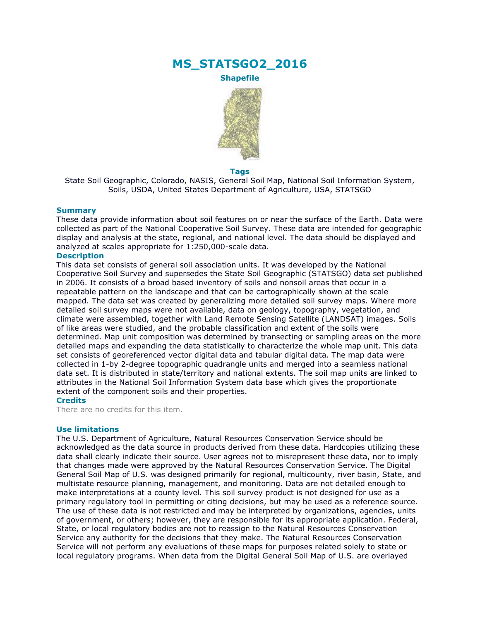# **MS\_STATSGO2\_2016**

**Shapefile**



### **Tags**

State Soil Geographic, Colorado, NASIS, General Soil Map, National Soil Information System, Soils, USDA, United States Department of Agriculture, USA, STATSGO

### **Summary**

These data provide information about soil features on or near the surface of the Earth. Data were collected as part of the National Cooperative Soil Survey. These data are intended for geographic display and analysis at the state, regional, and national level. The data should be displayed and analyzed at scales appropriate for 1:250,000-scale data.

## **Description**

This data set consists of general soil association units. It was developed by the National Cooperative Soil Survey and supersedes the State Soil Geographic (STATSGO) data set published in 2006. It consists of a broad based inventory of soils and nonsoil areas that occur in a repeatable pattern on the landscape and that can be cartographically shown at the scale mapped. The data set was created by generalizing more detailed soil survey maps. Where more detailed soil survey maps were not available, data on geology, topography, vegetation, and climate were assembled, together with Land Remote Sensing Satellite (LANDSAT) images. Soils of like areas were studied, and the probable classification and extent of the soils were determined. Map unit composition was determined by transecting or sampling areas on the more detailed maps and expanding the data statistically to characterize the whole map unit. This data set consists of georeferenced vector digital data and tabular digital data. The map data were collected in 1-by 2-degree topographic quadrangle units and merged into a seamless national data set. It is distributed in state/territory and national extents. The soil map units are linked to attributes in the National Soil Information System data base which gives the proportionate extent of the component soils and their properties.

# **Credits**

There are no credits for this item.

#### **Use limitations**

The U.S. Department of Agriculture, Natural Resources Conservation Service should be acknowledged as the data source in products derived from these data. Hardcopies utilizing these data shall clearly indicate their source. User agrees not to misrepresent these data, nor to imply that changes made were approved by the Natural Resources Conservation Service. The Digital General Soil Map of U.S. was designed primarily for regional, multicounty, river basin, State, and multistate resource planning, management, and monitoring. Data are not detailed enough to make interpretations at a county level. This soil survey product is not designed for use as a primary regulatory tool in permitting or citing decisions, but may be used as a reference source. The use of these data is not restricted and may be interpreted by organizations, agencies, units of government, or others; however, they are responsible for its appropriate application. Federal, State, or local regulatory bodies are not to reassign to the Natural Resources Conservation Service any authority for the decisions that they make. The Natural Resources Conservation Service will not perform any evaluations of these maps for purposes related solely to state or local regulatory programs. When data from the Digital General Soil Map of U.S. are overlayed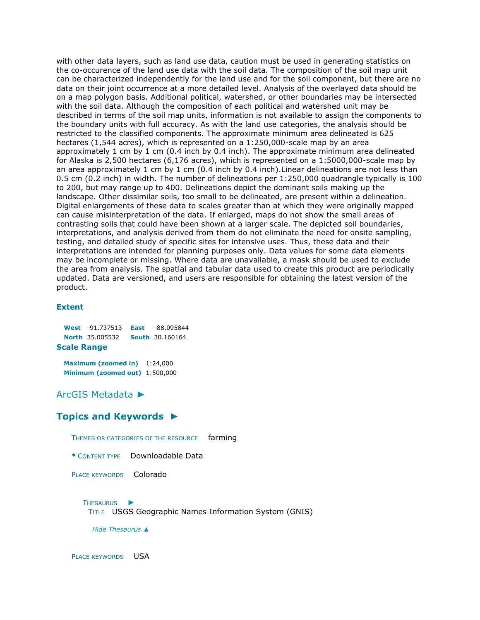with other data layers, such as land use data, caution must be used in generating statistics on the co-occurence of the land use data with the soil data. The composition of the soil map unit can be characterized independently for the land use and for the soil component, but there are no data on their joint occurrence at a more detailed level. Analysis of the overlayed data should be on a map polygon basis. Additional political, watershed, or other boundaries may be intersected with the soil data. Although the composition of each political and watershed unit may be described in terms of the soil map units, information is not available to assign the components to the boundary units with full accuracy. As with the land use categories, the analysis should be restricted to the classified components. The approximate minimum area delineated is 625 hectares (1,544 acres), which is represented on a 1:250,000-scale map by an area approximately 1 cm by 1 cm (0.4 inch by 0.4 inch). The approximate minimum area delineated for Alaska is 2,500 hectares (6,176 acres), which is represented on a 1:5000,000-scale map by an area approximately 1 cm by 1 cm (0.4 inch by 0.4 inch).Linear delineations are not less than 0.5 cm (0.2 inch) in width. The number of delineations per 1:250,000 quadrangle typically is 100 to 200, but may range up to 400. Delineations depict the dominant soils making up the landscape. Other dissimilar soils, too small to be delineated, are present within a delineation. Digital enlargements of these data to scales greater than at which they were originally mapped can cause misinterpretation of the data. If enlarged, maps do not show the small areas of contrasting soils that could have been shown at a larger scale. The depicted soil boundaries, interpretations, and analysis derived from them do not eliminate the need for onsite sampling, testing, and detailed study of specific sites for intensive uses. Thus, these data and their interpretations are intended for planning purposes only. Data values for some data elements may be incomplete or missing. Where data are unavailable, a mask should be used to exclude the area from analysis. The spatial and tabular data used to create this product are periodically updated. Data are versioned, and users are responsible for obtaining the latest version of the product.

## **Extent**

**West** -91.737513 **East** -88.095844 **North** 35.005532 **South** 30.160164 **Scale Range**

**Maximum (zoomed in)** 1:24,000 **Minimum (zoomed out)** 1:500,000

[ArcGIS Metadata](file:///C:/Users/swalker/AppData/Local/Temp/arc6F0A/tmpDEEE.tmp.htm%23arcgisMetadata) ►

# **[Topics and Keywords](file:///C:/Users/swalker/AppData/Local/Temp/arc6F0A/tmpDEEE.tmp.htm%23true) ►**

THEMES OR CATEGORIES OF THE RESOURCE farming

**\*** CONTENT TYPE Downloadable Data

PLACE KEYWORDS Colorado

T[HESAURUS](file:///C:/Users/swalker/AppData/Local/Temp/arc6F0A/tmpDEEE.tmp.htm%23ID0EAANHA) ► TITLE USGS Geographic Names Information System (GNIS)

*Hide [Thesaurus](file:///C:/Users/swalker/AppData/Local/Temp/arc6F0A/tmpDEEE.tmp.htm%23ID0EAANHA) ▲*

PLACE KEYWORDS USA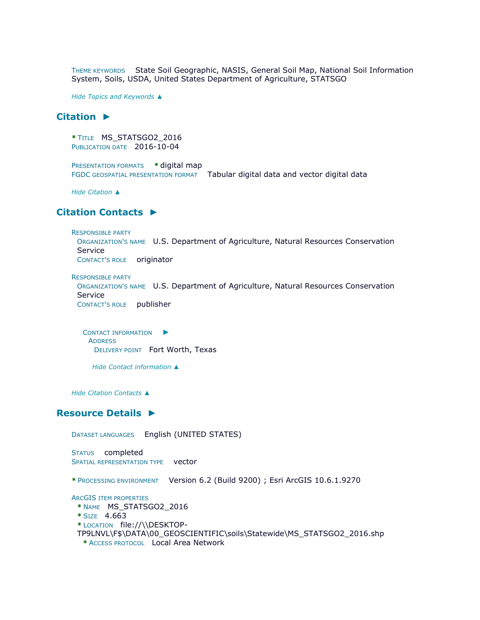THEME KEYWORDS State Soil Geographic, NASIS, General Soil Map, National Soil Information System, Soils, USDA, United States Department of Agriculture, STATSGO

*Hide [Topics and Keywords](file:///C:/Users/swalker/AppData/Local/Temp/arc6F0A/tmpDEEE.tmp.htm%23true) ▲*

# **[Citation](file:///C:/Users/swalker/AppData/Local/Temp/arc6F0A/tmpDEEE.tmp.htm%23ID0ETHA) ►**

```
* TITLE MS_STATSGO2_2016 
PUBLICATION DATE 2016-10-04
```

```
PRESENTATION FORMATS * digital map 
FGDC GEOSPATIAL PRESENTATION FORMAT Tabular digital data and vector digital data
```
*Hide [Citation](file:///C:/Users/swalker/AppData/Local/Temp/arc6F0A/tmpDEEE.tmp.htm%23ID0ETHA) ▲*

# **[Citation Contacts](file:///C:/Users/swalker/AppData/Local/Temp/arc6F0A/tmpDEEE.tmp.htm%23ID0ECTHA) ►**

```
RESPONSIBLE PARTY
```

```
ORGANIZATION'S NAME U.S. Department of Agriculture, Natural Resources Conservation 
Service
```
CONTACT'S ROLE originator

```
RESPONSIBLE PARTY
 ORGANIZATION'S NAME U.S. Department of Agriculture, Natural Resources Conservation 
 Service 
 CONTACT'S ROLE publisher
```
C[ONTACT INFORMATION](file:///C:/Users/swalker/AppData/Local/Temp/arc6F0A/tmpDEEE.tmp.htm%23ID0EBBTHA)  $\blacktriangleright$ **ADDRESS** DELIVERY POINT Fort Worth, Texas

*Hide [Contact information](file:///C:/Users/swalker/AppData/Local/Temp/arc6F0A/tmpDEEE.tmp.htm%23ID0EBBTHA) ▲*

*Hide [Citation Contacts](file:///C:/Users/swalker/AppData/Local/Temp/arc6F0A/tmpDEEE.tmp.htm%23ID0ECTHA) ▲*

## **[Resource Details](file:///C:/Users/swalker/AppData/Local/Temp/arc6F0A/tmpDEEE.tmp.htm%23ID0EEBFQA) ►**

```
DATASET LANGUAGES English (UNITED STATES) 
STATUS completed 
SPATIAL REPRESENTATION TYPE vector
* PROCESSING ENVIRONMENT Version 6.2 (Build 9200) ; Esri ArcGIS 10.6.1.9270
ARCGIS ITEM PROPERTIES
 * NAME MS_STATSGO2_2016 
 * SIZE 4.663 
 * LOCATION file://\\DESKTOP-
 TP9LNVL\F$\DATA\00_GEOSCIENTIFIC\soils\Statewide\MS_STATSGO2_2016.shp 
  * ACCESS PROTOCOL Local Area Network
```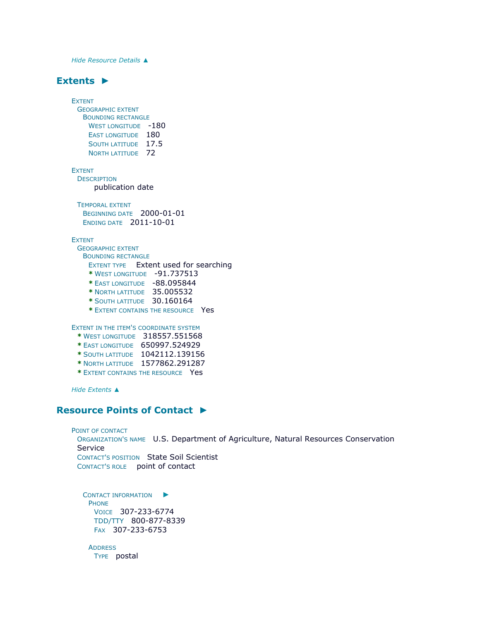*Hide [Resource Details](file:///C:/Users/swalker/AppData/Local/Temp/arc6F0A/tmpDEEE.tmp.htm%23ID0EEBFQA) ▲*

# **[Extents](file:///C:/Users/swalker/AppData/Local/Temp/arc6F0A/tmpDEEE.tmp.htm%23ID0EEDBFQA) ►**

```
EXTENT
 GEOGRAPHIC EXTENT
  BOUNDING RECTANGLE
    WEST LONGITUDE -180
    EAST LONGITUDE 180
    SOUTH LATITUDE 17.5
    NORTH LATITUDE 72
EXTENT
 DESCRIPTION
     publication date
 TEMPORAL EXTENT
  BEGINNING DATE 2000-01-01 
  ENDING DATE 2011-10-01
EXTENT
 GEOGRAPHIC EXTENT
  BOUNDING RECTANGLE
    EXTENT TYPE Extent used for searching 
    * WEST LONGITUDE -91.737513 
    * EAST LONGITUDE -88.095844 
    * NORTH LATITUDE 35.005532 
    * SOUTH LATITUDE 30.160164 
    * EXTENT CONTAINS THE RESOURCE Yes
```
EXTENT IN THE ITEM'S COORDINATE SYSTEM

- **\*** WEST LONGITUDE 318557.551568
- **\*** EAST LONGITUDE 650997.524929
- **\*** SOUTH LATITUDE 1042112.139156
- **\*** NORTH LATITUDE 1577862.291287
- **\*** EXTENT CONTAINS THE RESOURCE Yes

*Hide [Extents](file:///C:/Users/swalker/AppData/Local/Temp/arc6F0A/tmpDEEE.tmp.htm%23ID0EEDBFQA) ▲*

# **[Resource Points of Contact](file:///C:/Users/swalker/AppData/Local/Temp/arc6F0A/tmpDEEE.tmp.htm%23ID0EPHA) ►**

```
POINT OF CONTACT
 ORGANIZATION'S NAME U.S. Department of Agriculture, Natural Resources Conservation 
 Service 
 CONTACT'S POSITION State Soil Scientist 
 CONTACT'S ROLE point of contact
   ONTACT INFORMATION \blacktrianglerightPHONE
```

```
VOICE 307-233-6774 
TDD/TTY 800-877-8339 
FAX 307-233-6753
```

```
ADDRESS
 TYPE postal
```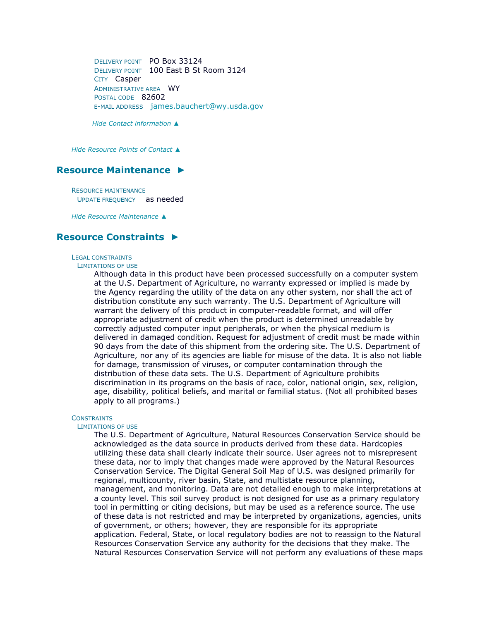DELIVERY POINT PO Box 33124 DELIVERY POINT 100 East B St Room 3124 CITY Casper ADMINISTRATIVE AREA WY POSTAL CODE 82602 E-MAIL ADDRESS [james.bauchert@wy.usda.gov](mailto:james.bauchert@wy.usda.gov?subject=MS_STATSGO2_2016)

*Hide [Contact information](file:///C:/Users/swalker/AppData/Local/Temp/arc6F0A/tmpDEEE.tmp.htm%23ID0EBPHA) ▲*

*Hide [Resource Points of Contact](file:///C:/Users/swalker/AppData/Local/Temp/arc6F0A/tmpDEEE.tmp.htm%23ID0EPHA) ▲*

## **[Resource Maintenance](file:///C:/Users/swalker/AppData/Local/Temp/arc6F0A/tmpDEEE.tmp.htm%23ID0EOHA) ►**

RESOURCE MAINTENANCE UPDATE FREQUENCY as needed

*Hide [Resource Maintenance](file:///C:/Users/swalker/AppData/Local/Temp/arc6F0A/tmpDEEE.tmp.htm%23ID0EOHA) ▲*

# **[Resource Constraints](file:///C:/Users/swalker/AppData/Local/Temp/arc6F0A/tmpDEEE.tmp.htm%23ID0EJHA) ►**

#### LEGAL CONSTRAINTS

#### LIMITATIONS OF USE

Although data in this product have been processed successfully on a computer system at the U.S. Department of Agriculture, no warranty expressed or implied is made by the Agency regarding the utility of the data on any other system, nor shall the act of distribution constitute any such warranty. The U.S. Department of Agriculture will warrant the delivery of this product in computer-readable format, and will offer appropriate adjustment of credit when the product is determined unreadable by correctly adjusted computer input peripherals, or when the physical medium is delivered in damaged condition. Request for adjustment of credit must be made within 90 days from the date of this shipment from the ordering site. The U.S. Department of Agriculture, nor any of its agencies are liable for misuse of the data. It is also not liable for damage, transmission of viruses, or computer contamination through the distribution of these data sets. The U.S. Department of Agriculture prohibits discrimination in its programs on the basis of race, color, national origin, sex, religion, age, disability, political beliefs, and marital or familial status. (Not all prohibited bases apply to all programs.)

### **CONSTRAINTS**

### LIMITATIONS OF USE

The U.S. Department of Agriculture, Natural Resources Conservation Service should be acknowledged as the data source in products derived from these data. Hardcopies utilizing these data shall clearly indicate their source. User agrees not to misrepresent these data, nor to imply that changes made were approved by the Natural Resources Conservation Service. The Digital General Soil Map of U.S. was designed primarily for regional, multicounty, river basin, State, and multistate resource planning, management, and monitoring. Data are not detailed enough to make interpretations at a county level. This soil survey product is not designed for use as a primary regulatory tool in permitting or citing decisions, but may be used as a reference source. The use of these data is not restricted and may be interpreted by organizations, agencies, units of government, or others; however, they are responsible for its appropriate application. Federal, State, or local regulatory bodies are not to reassign to the Natural Resources Conservation Service any authority for the decisions that they make. The Natural Resources Conservation Service will not perform any evaluations of these maps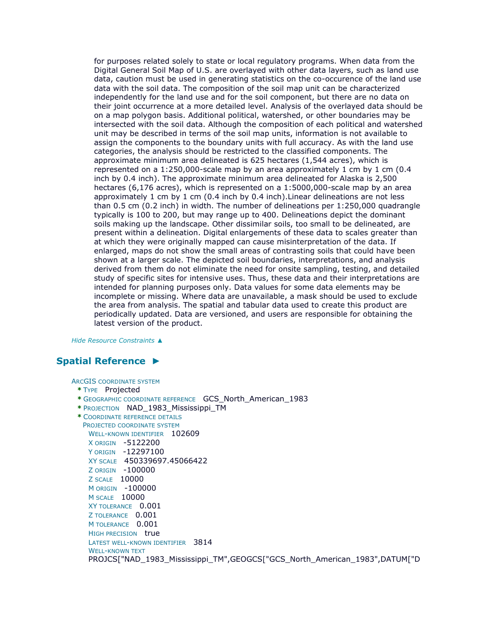for purposes related solely to state or local regulatory programs. When data from the Digital General Soil Map of U.S. are overlayed with other data layers, such as land use data, caution must be used in generating statistics on the co-occurence of the land use data with the soil data. The composition of the soil map unit can be characterized independently for the land use and for the soil component, but there are no data on their joint occurrence at a more detailed level. Analysis of the overlayed data should be on a map polygon basis. Additional political, watershed, or other boundaries may be intersected with the soil data. Although the composition of each political and watershed unit may be described in terms of the soil map units, information is not available to assign the components to the boundary units with full accuracy. As with the land use categories, the analysis should be restricted to the classified components. The approximate minimum area delineated is 625 hectares (1,544 acres), which is represented on a 1:250,000-scale map by an area approximately 1 cm by 1 cm (0.4 inch by 0.4 inch). The approximate minimum area delineated for Alaska is 2,500 hectares (6,176 acres), which is represented on a 1:5000,000-scale map by an area approximately 1 cm by 1 cm (0.4 inch by 0.4 inch).Linear delineations are not less than 0.5 cm (0.2 inch) in width. The number of delineations per 1:250,000 quadrangle typically is 100 to 200, but may range up to 400. Delineations depict the dominant soils making up the landscape. Other dissimilar soils, too small to be delineated, are present within a delineation. Digital enlargements of these data to scales greater than at which they were originally mapped can cause misinterpretation of the data. If enlarged, maps do not show the small areas of contrasting soils that could have been shown at a larger scale. The depicted soil boundaries, interpretations, and analysis derived from them do not eliminate the need for onsite sampling, testing, and detailed study of specific sites for intensive uses. Thus, these data and their interpretations are intended for planning purposes only. Data values for some data elements may be incomplete or missing. Where data are unavailable, a mask should be used to exclude the area from analysis. The spatial and tabular data used to create this product are periodically updated. Data are versioned, and users are responsible for obtaining the latest version of the product.

*Hide [Resource Constraints](file:///C:/Users/swalker/AppData/Local/Temp/arc6F0A/tmpDEEE.tmp.htm%23ID0EJHA) ▲*

# **[Spatial Reference](file:///C:/Users/swalker/AppData/Local/Temp/arc6F0A/tmpDEEE.tmp.htm%23ID0EEAFQA) ►**

ARCGIS COORDINATE SYSTEM

```
* TYPE Projected
```
- **\*** GEOGRAPHIC COORDINATE REFERENCE GCS\_North\_American\_1983
- **\*** PROJECTION NAD\_1983\_Mississippi\_TM
- **\*** COORDINATE REFERENCE DETAILS

PROJECTED COORDINATE SYSTEM WELL-KNOWN IDENTIFIER 102609 X ORIGIN -5122200 Y ORIGIN -12297100 XY SCALE 450339697.45066422 Z ORIGIN -100000 Z SCALE 10000 M ORIGIN -100000 M SCALE 10000 XY TOLERANCE 0.001 Z TOLERANCE 0.001 M TOLERANCE 0.001 HIGH PRECISION true LATEST WELL-KNOWN IDENTIFIER 3814 WELL-KNOWN TEXT PROJCS["NAD\_1983\_Mississippi\_TM",GEOGCS["GCS\_North\_American\_1983",DATUM["D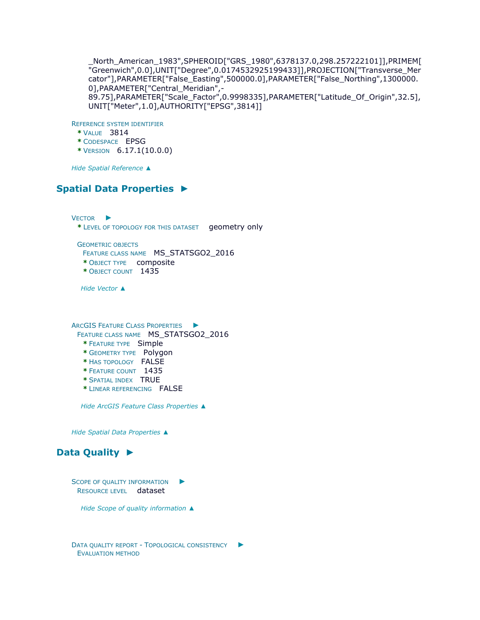\_North\_American\_1983",SPHEROID["GRS\_1980",6378137.0,298.257222101]],PRIMEM[ "Greenwich",0.0],UNIT["Degree",0.0174532925199433]],PROJECTION["Transverse\_Mer cator"],PARAMETER["False\_Easting",500000.0],PARAMETER["False\_Northing",1300000. 0], PARAMETER["Central Meridian", -89.75],PARAMETER["Scale\_Factor",0.9998335],PARAMETER["Latitude\_Of\_Origin",32.5], UNIT["Meter",1.0],AUTHORITY["EPSG",3814]]

REFERENCE SYSTEM IDENTIFIER

- **\*** VALUE 3814
- **\*** CODESPACE EPSG
- **\*** VERSION 6.17.1(10.0.0)

*Hide [Spatial Reference](file:///C:/Users/swalker/AppData/Local/Temp/arc6F0A/tmpDEEE.tmp.htm%23ID0EEAFQA) ▲*

# **[Spatial Data Properties](file:///C:/Users/swalker/AppData/Local/Temp/arc6F0A/tmpDEEE.tmp.htm%23ID0EACA) ►**

V[ECTOR](file:///C:/Users/swalker/AppData/Local/Temp/arc6F0A/tmpDEEE.tmp.htm%23ID0EBACA) ► **\*** LEVEL OF TOPOLOGY FOR THIS DATASET geometry only

GEOMETRIC OBJECTS FEATURE CLASS NAME MS\_STATSGO2\_2016 **\*** OBJECT TYPE composite **\*** OBJECT COUNT 1435

*Hide [Vector](file:///C:/Users/swalker/AppData/Local/Temp/arc6F0A/tmpDEEE.tmp.htm%23ID0EBACA) ▲*

ARCGIS FEATURE CLASS P[ROPERTIES](file:///C:/Users/swalker/AppData/Local/Temp/arc6F0A/tmpDEEE.tmp.htm%23ID0EA) ► FEATURE CLASS NAME MS\_STATSGO2\_2016

**\*** FEATURE TYPE Simple

- **\*** GEOMETRY TYPE Polygon
- **\*** HAS TOPOLOGY FALSE
- **\*** FEATURE COUNT 1435
- **\*** SPATIAL INDEX TRUE
- **\*** LINEAR REFERENCING FALSE

*Hide [ArcGIS Feature Class Properties](file:///C:/Users/swalker/AppData/Local/Temp/arc6F0A/tmpDEEE.tmp.htm%23ID0EA) ▲*

*Hide [Spatial Data Properties](file:///C:/Users/swalker/AppData/Local/Temp/arc6F0A/tmpDEEE.tmp.htm%23ID0EACA) ▲*

# **[Data Quality](file:///C:/Users/swalker/AppData/Local/Temp/arc6F0A/tmpDEEE.tmp.htm%23ID0EAGGA) ►**

S[COPE OF QUALITY INFORMATION](file:///C:/Users/swalker/AppData/Local/Temp/arc6F0A/tmpDEEE.tmp.htm%23ID0EAGGA)  $\blacktriangleright$ RESOURCE LEVEL dataset

*Hide [Scope of quality information](file:///C:/Users/swalker/AppData/Local/Temp/arc6F0A/tmpDEEE.tmp.htm%23ID0EAGGA) ▲*

DATA QUALITY REPORT - T[OPOLOGICAL CONSISTENCY](file:///C:/Users/swalker/AppData/Local/Temp/arc6F0A/tmpDEEE.tmp.htm%23ID0EFGA) ► EVALUATION METHOD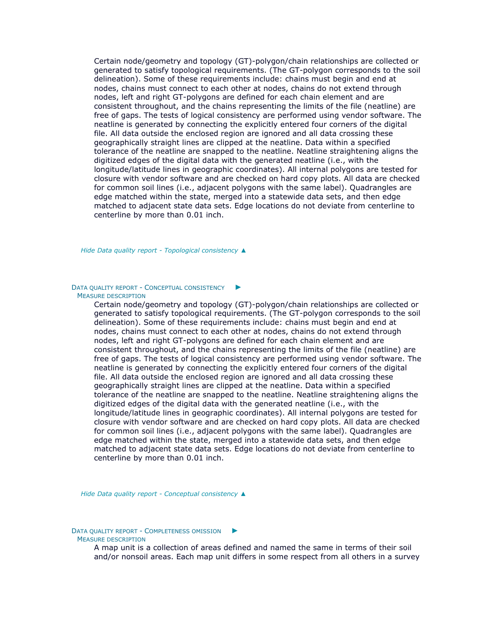Certain node/geometry and topology (GT)-polygon/chain relationships are collected or generated to satisfy topological requirements. (The GT-polygon corresponds to the soil delineation). Some of these requirements include: chains must begin and end at nodes, chains must connect to each other at nodes, chains do not extend through nodes, left and right GT-polygons are defined for each chain element and are consistent throughout, and the chains representing the limits of the file (neatline) are free of gaps. The tests of logical consistency are performed using vendor software. The neatline is generated by connecting the explicitly entered four corners of the digital file. All data outside the enclosed region are ignored and all data crossing these geographically straight lines are clipped at the neatline. Data within a specified tolerance of the neatline are snapped to the neatline. Neatline straightening aligns the digitized edges of the digital data with the generated neatline (i.e., with the longitude/latitude lines in geographic coordinates). All internal polygons are tested for closure with vendor software and are checked on hard copy plots. All data are checked for common soil lines (i.e., adjacent polygons with the same label). Quadrangles are edge matched within the state, merged into a statewide data sets, and then edge matched to adjacent state data sets. Edge locations do not deviate from centerline to centerline by more than 0.01 inch.

*Hide Data quality report - [Topological consistency](file:///C:/Users/swalker/AppData/Local/Temp/arc6F0A/tmpDEEE.tmp.htm%23ID0EFGA) ▲*

#### DATA QUALITY REPORT - C[ONCEPTUAL CONSISTENCY](file:///C:/Users/swalker/AppData/Local/Temp/arc6F0A/tmpDEEE.tmp.htm%23ID0EEGA) ► MEASURE DESCRIPTION

Certain node/geometry and topology (GT)-polygon/chain relationships are collected or generated to satisfy topological requirements. (The GT-polygon corresponds to the soil delineation). Some of these requirements include: chains must begin and end at nodes, chains must connect to each other at nodes, chains do not extend through nodes, left and right GT-polygons are defined for each chain element and are consistent throughout, and the chains representing the limits of the file (neatline) are free of gaps. The tests of logical consistency are performed using vendor software. The neatline is generated by connecting the explicitly entered four corners of the digital file. All data outside the enclosed region are ignored and all data crossing these geographically straight lines are clipped at the neatline. Data within a specified tolerance of the neatline are snapped to the neatline. Neatline straightening aligns the digitized edges of the digital data with the generated neatline (i.e., with the longitude/latitude lines in geographic coordinates). All internal polygons are tested for closure with vendor software and are checked on hard copy plots. All data are checked for common soil lines (i.e., adjacent polygons with the same label). Quadrangles are edge matched within the state, merged into a statewide data sets, and then edge matched to adjacent state data sets. Edge locations do not deviate from centerline to centerline by more than 0.01 inch.

*Hide Data quality report - [Conceptual consistency](file:///C:/Users/swalker/AppData/Local/Temp/arc6F0A/tmpDEEE.tmp.htm%23ID0EEGA) ▲*

#### DATA QUALITY REPORT - C[OMPLETENESS OMISSION](file:///C:/Users/swalker/AppData/Local/Temp/arc6F0A/tmpDEEE.tmp.htm%23ID0EDGA) ► MEASURE DESCRIPTION

A map unit is a collection of areas defined and named the same in terms of their soil and/or nonsoil areas. Each map unit differs in some respect from all others in a survey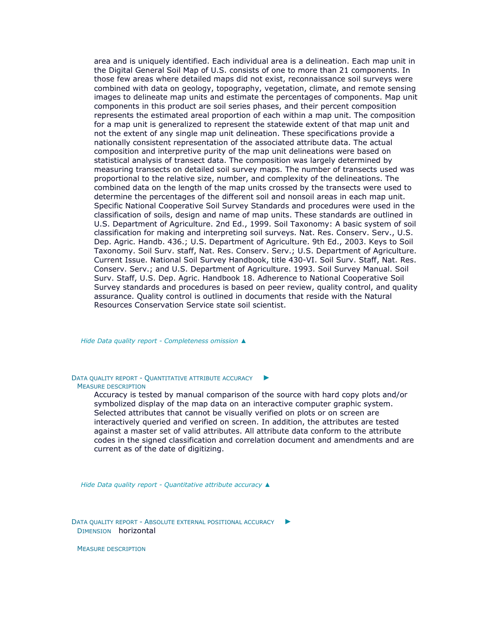area and is uniquely identified. Each individual area is a delineation. Each map unit in the Digital General Soil Map of U.S. consists of one to more than 21 components. In those few areas where detailed maps did not exist, reconnaissance soil surveys were combined with data on geology, topography, vegetation, climate, and remote sensing images to delineate map units and estimate the percentages of components. Map unit components in this product are soil series phases, and their percent composition represents the estimated areal proportion of each within a map unit. The composition for a map unit is generalized to represent the statewide extent of that map unit and not the extent of any single map unit delineation. These specifications provide a nationally consistent representation of the associated attribute data. The actual composition and interpretive purity of the map unit delineations were based on statistical analysis of transect data. The composition was largely determined by measuring transects on detailed soil survey maps. The number of transects used was proportional to the relative size, number, and complexity of the delineations. The combined data on the length of the map units crossed by the transects were used to determine the percentages of the different soil and nonsoil areas in each map unit. Specific National Cooperative Soil Survey Standards and procedures were used in the classification of soils, design and name of map units. These standards are outlined in U.S. Department of Agriculture. 2nd Ed., 1999. Soil Taxonomy: A basic system of soil classification for making and interpreting soil surveys. Nat. Res. Conserv. Serv., U.S. Dep. Agric. Handb. 436.; U.S. Department of Agriculture. 9th Ed., 2003. Keys to Soil Taxonomy. Soil Surv. staff, Nat. Res. Conserv. Serv.; U.S. Department of Agriculture. Current Issue. National Soil Survey Handbook, title 430-VI. Soil Surv. Staff, Nat. Res. Conserv. Serv.; and U.S. Department of Agriculture. 1993. Soil Survey Manual. Soil Surv. Staff, U.S. Dep. Agric. Handbook 18. Adherence to National Cooperative Soil Survey standards and procedures is based on peer review, quality control, and quality assurance. Quality control is outlined in documents that reside with the Natural Resources Conservation Service state soil scientist.

*Hide Data quality report - [Completeness omission](file:///C:/Users/swalker/AppData/Local/Temp/arc6F0A/tmpDEEE.tmp.htm%23ID0EDGA) ▲*

DATA QUALITY REPORT - Q[UANTITATIVE ATTRIBUTE ACCURACY](file:///C:/Users/swalker/AppData/Local/Temp/arc6F0A/tmpDEEE.tmp.htm%23ID0ECGA) ► MEASURE DESCRIPTION

> Accuracy is tested by manual comparison of the source with hard copy plots and/or symbolized display of the map data on an interactive computer graphic system. Selected attributes that cannot be visually verified on plots or on screen are interactively queried and verified on screen. In addition, the attributes are tested against a master set of valid attributes. All attribute data conform to the attribute codes in the signed classification and correlation document and amendments and are current as of the date of digitizing.

*Hide Data quality report - [Quantitative attribute accuracy](file:///C:/Users/swalker/AppData/Local/Temp/arc6F0A/tmpDEEE.tmp.htm%23ID0ECGA) ▲*

DATA QUALITY REPORT - A[BSOLUTE EXTERNAL POSITIONAL ACCURACY](file:///C:/Users/swalker/AppData/Local/Temp/arc6F0A/tmpDEEE.tmp.htm%23ID0EBGA) ► DIMENSION horizontal

MEASURE DESCRIPTION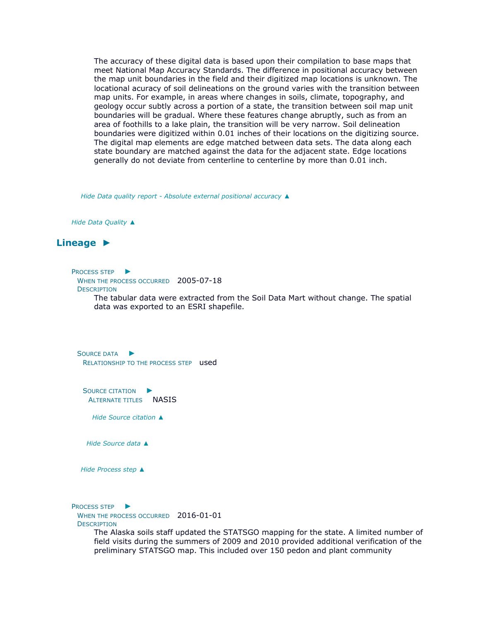The accuracy of these digital data is based upon their compilation to base maps that meet National Map Accuracy Standards. The difference in positional accuracy between the map unit boundaries in the field and their digitized map locations is unknown. The locational acuracy of soil delineations on the ground varies with the transition between map units. For example, in areas where changes in soils, climate, topography, and geology occur subtly across a portion of a state, the transition between soil map unit boundaries will be gradual. Where these features change abruptly, such as from an area of foothills to a lake plain, the transition will be very narrow. Soil delineation boundaries were digitized within 0.01 inches of their locations on the digitizing source. The digital map elements are edge matched between data sets. The data along each state boundary are matched against the data for the adjacent state. Edge locations generally do not deviate from centerline to centerline by more than 0.01 inch.

*Hide Data quality report - [Absolute external positional accuracy](file:///C:/Users/swalker/AppData/Local/Temp/arc6F0A/tmpDEEE.tmp.htm%23ID0EBGA) ▲*

*Hide [Data Quality](file:///C:/Users/swalker/AppData/Local/Temp/arc6F0A/tmpDEEE.tmp.htm%23ID0EAGGA) ▲*

## **[Lineage](file:///C:/Users/swalker/AppData/Local/Temp/arc6F0A/tmpDEEE.tmp.htm%23ID0EAGA) ►**

P[ROCESS STEP](file:///C:/Users/swalker/AppData/Local/Temp/arc6F0A/tmpDEEE.tmp.htm%23ID0ECVAGA) ►

WHEN THE PROCESS OCCURRED 2005-07-18

**DESCRIPTION** 

The tabular data were extracted from the Soil Data Mart without change. The spatial data was exported to an ESRI shapefile.

S[OURCE DATA](file:///C:/Users/swalker/AppData/Local/Temp/arc6F0A/tmpDEEE.tmp.htm%23ID0EAAVAGA) ► RELATIONSHIP TO THE PROCESS STEP used

S[OURCE CITATION](file:///C:/Users/swalker/AppData/Local/Temp/arc6F0A/tmpDEEE.tmp.htm%23ID0EAAAVAGA) ► ALTERNATE TITLES NASIS

*Hide [Source citation](file:///C:/Users/swalker/AppData/Local/Temp/arc6F0A/tmpDEEE.tmp.htm%23ID0EAAAVAGA) ▲*

*Hide [Source data](file:///C:/Users/swalker/AppData/Local/Temp/arc6F0A/tmpDEEE.tmp.htm%23ID0EAAVAGA) ▲*

*Hide [Process step](file:///C:/Users/swalker/AppData/Local/Temp/arc6F0A/tmpDEEE.tmp.htm%23ID0ECVAGA) ▲*

P[ROCESS STEP](file:///C:/Users/swalker/AppData/Local/Temp/arc6F0A/tmpDEEE.tmp.htm%23ID0ECUAGA) ▶ WHEN THE PROCESS OCCURRED 2016-01-01 **DESCRIPTION** 

The Alaska soils staff updated the STATSGO mapping for the state. A limited number of field visits during the summers of 2009 and 2010 provided additional verification of the preliminary STATSGO map. This included over 150 pedon and plant community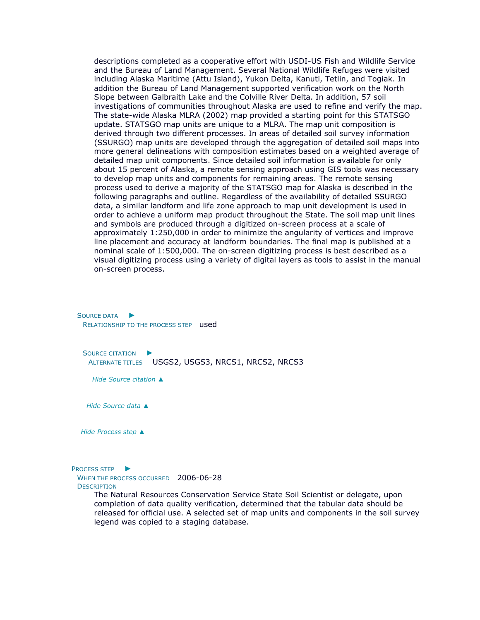descriptions completed as a cooperative effort with USDI-US Fish and Wildlife Service and the Bureau of Land Management. Several National Wildlife Refuges were visited including Alaska Maritime (Attu Island), Yukon Delta, Kanuti, Tetlin, and Togiak. In addition the Bureau of Land Management supported verification work on the North Slope between Galbraith Lake and the Colville River Delta. In addition, 57 soil investigations of communities throughout Alaska are used to refine and verify the map. The state-wide Alaska MLRA (2002) map provided a starting point for this STATSGO update. STATSGO map units are unique to a MLRA. The map unit composition is derived through two different processes. In areas of detailed soil survey information (SSURGO) map units are developed through the aggregation of detailed soil maps into more general delineations with composition estimates based on a weighted average of detailed map unit components. Since detailed soil information is available for only about 15 percent of Alaska, a remote sensing approach using GIS tools was necessary to develop map units and components for remaining areas. The remote sensing process used to derive a majority of the STATSGO map for Alaska is described in the following paragraphs and outline. Regardless of the availability of detailed SSURGO data, a similar landform and life zone approach to map unit development is used in order to achieve a uniform map product throughout the State. The soil map unit lines and symbols are produced through a digitized on-screen process at a scale of approximately 1:250,000 in order to minimize the angularity of vertices and improve line placement and accuracy at landform boundaries. The final map is published at a nominal scale of 1:500,000. The on-screen digitizing process is best described as a visual digitizing process using a variety of digital layers as tools to assist in the manual on-screen process.

S[OURCE DATA](file:///C:/Users/swalker/AppData/Local/Temp/arc6F0A/tmpDEEE.tmp.htm%23ID0EAAUAGA) ► RELATIONSHIP TO THE PROCESS STEP **used** 

S[OURCE CITATION](file:///C:/Users/swalker/AppData/Local/Temp/arc6F0A/tmpDEEE.tmp.htm%23ID0EAAAUAGA) ► ALTERNATE TITLES USGS2, USGS3, NRCS1, NRCS2, NRCS3

*Hide [Source citation](file:///C:/Users/swalker/AppData/Local/Temp/arc6F0A/tmpDEEE.tmp.htm%23ID0EAAAUAGA) ▲*

*Hide [Source data](file:///C:/Users/swalker/AppData/Local/Temp/arc6F0A/tmpDEEE.tmp.htm%23ID0EAAUAGA) ▲*

*Hide [Process step](file:///C:/Users/swalker/AppData/Local/Temp/arc6F0A/tmpDEEE.tmp.htm%23ID0ECUAGA) ▲*

P[ROCESS STEP](file:///C:/Users/swalker/AppData/Local/Temp/arc6F0A/tmpDEEE.tmp.htm%23ID0ECTAGA) ▶

WHEN THE PROCESS OCCURRED 2006-06-28 **DESCRIPTION** 

> The Natural Resources Conservation Service State Soil Scientist or delegate, upon completion of data quality verification, determined that the tabular data should be released for official use. A selected set of map units and components in the soil survey legend was copied to a staging database.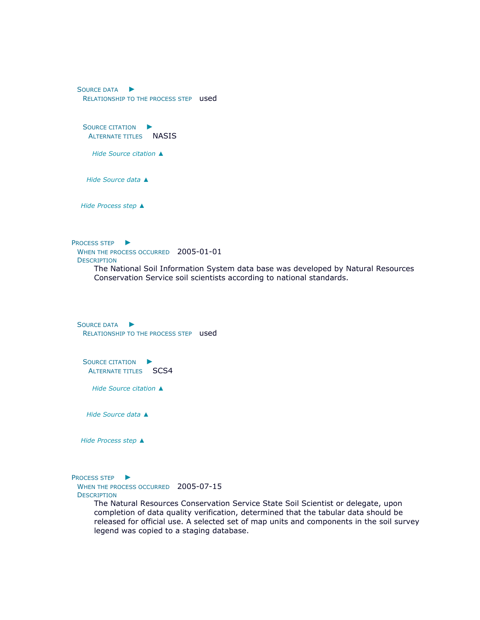S[OURCE DATA](file:///C:/Users/swalker/AppData/Local/Temp/arc6F0A/tmpDEEE.tmp.htm%23ID0EAATAGA) ► RELATIONSHIP TO THE PROCESS STEP used

S[OURCE CITATION](file:///C:/Users/swalker/AppData/Local/Temp/arc6F0A/tmpDEEE.tmp.htm%23ID0EAAATAGA) ► ALTERNATE TITLES NASIS

*Hide [Source citation](file:///C:/Users/swalker/AppData/Local/Temp/arc6F0A/tmpDEEE.tmp.htm%23ID0EAAATAGA) ▲*

*Hide [Source data](file:///C:/Users/swalker/AppData/Local/Temp/arc6F0A/tmpDEEE.tmp.htm%23ID0EAATAGA) ▲*

*Hide [Process step](file:///C:/Users/swalker/AppData/Local/Temp/arc6F0A/tmpDEEE.tmp.htm%23ID0ECTAGA) ▲*

P[ROCESS STEP](file:///C:/Users/swalker/AppData/Local/Temp/arc6F0A/tmpDEEE.tmp.htm%23ID0ECSAGA) ▶

WHEN THE PROCESS OCCURRED 2005-01-01 **DESCRIPTION** 

> The National Soil Information System data base was developed by Natural Resources Conservation Service soil scientists according to national standards.

S[OURCE DATA](file:///C:/Users/swalker/AppData/Local/Temp/arc6F0A/tmpDEEE.tmp.htm%23ID0EAASAGA) ► RELATIONSHIP TO THE PROCESS STEP **used** 

S[OURCE CITATION](file:///C:/Users/swalker/AppData/Local/Temp/arc6F0A/tmpDEEE.tmp.htm%23ID0EAAASAGA) ► ALTERNATE TITLES SCS4

*Hide [Source citation](file:///C:/Users/swalker/AppData/Local/Temp/arc6F0A/tmpDEEE.tmp.htm%23ID0EAAASAGA) ▲*

*Hide [Source data](file:///C:/Users/swalker/AppData/Local/Temp/arc6F0A/tmpDEEE.tmp.htm%23ID0EAASAGA) ▲*

*Hide [Process step](file:///C:/Users/swalker/AppData/Local/Temp/arc6F0A/tmpDEEE.tmp.htm%23ID0ECSAGA) ▲*

P[ROCESS STEP](file:///C:/Users/swalker/AppData/Local/Temp/arc6F0A/tmpDEEE.tmp.htm%23ID0ECRAGA) ►

WHEN THE PROCESS OCCURRED 2005-07-15 **DESCRIPTION** 

> The Natural Resources Conservation Service State Soil Scientist or delegate, upon completion of data quality verification, determined that the tabular data should be released for official use. A selected set of map units and components in the soil survey legend was copied to a staging database.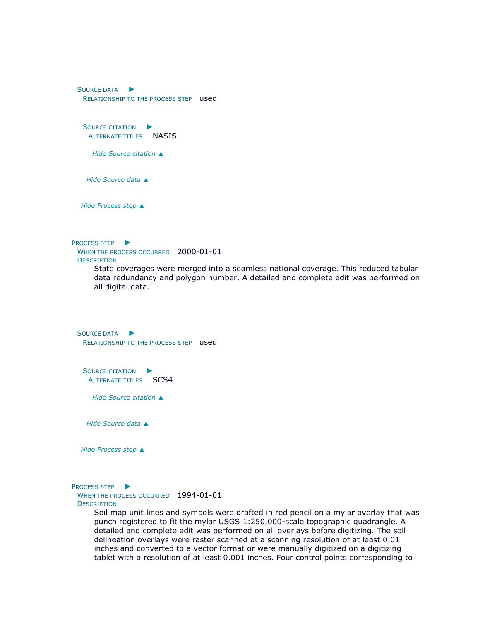S[OURCE DATA](file:///C:/Users/swalker/AppData/Local/Temp/arc6F0A/tmpDEEE.tmp.htm%23ID0EAARAGA) ► RELATIONSHIP TO THE PROCESS STEP **used** S[OURCE CITATION](file:///C:/Users/swalker/AppData/Local/Temp/arc6F0A/tmpDEEE.tmp.htm%23ID0EAAARAGA) ► ALTERNATE TITLES NASIS *Hide [Source citation](file:///C:/Users/swalker/AppData/Local/Temp/arc6F0A/tmpDEEE.tmp.htm%23ID0EAAARAGA) ▲ Hide [Source data](file:///C:/Users/swalker/AppData/Local/Temp/arc6F0A/tmpDEEE.tmp.htm%23ID0EAARAGA) ▲ Hide [Process step](file:///C:/Users/swalker/AppData/Local/Temp/arc6F0A/tmpDEEE.tmp.htm%23ID0ECRAGA) ▲* P[ROCESS STEP](file:///C:/Users/swalker/AppData/Local/Temp/arc6F0A/tmpDEEE.tmp.htm%23ID0ECQAGA) ▶ WHEN THE PROCESS OCCURRED 2000-01-01 **DESCRIPTION** State coverages were merged into a seamless national coverage. This reduced tabular data redundancy and polygon number. A detailed and complete edit was performed on all digital data. S[OURCE DATA](file:///C:/Users/swalker/AppData/Local/Temp/arc6F0A/tmpDEEE.tmp.htm%23ID0EAAQAGA) ► RELATIONSHIP TO THE PROCESS STEP used S[OURCE CITATION](file:///C:/Users/swalker/AppData/Local/Temp/arc6F0A/tmpDEEE.tmp.htm%23ID0EAAAQAGA) ► ALTERNATE TITLES SCS4 *Hide [Source citation](file:///C:/Users/swalker/AppData/Local/Temp/arc6F0A/tmpDEEE.tmp.htm%23ID0EAAAQAGA) ▲ Hide [Source data](file:///C:/Users/swalker/AppData/Local/Temp/arc6F0A/tmpDEEE.tmp.htm%23ID0EAAQAGA) ▲ Hide [Process step](file:///C:/Users/swalker/AppData/Local/Temp/arc6F0A/tmpDEEE.tmp.htm%23ID0ECQAGA) ▲* P[ROCESS STEP](file:///C:/Users/swalker/AppData/Local/Temp/arc6F0A/tmpDEEE.tmp.htm%23ID0ECPAGA) ► WHEN THE PROCESS OCCURRED 1994-01-01 **DESCRIPTION** 

Soil map unit lines and symbols were drafted in red pencil on a mylar overlay that was punch registered to fit the mylar USGS 1:250,000-scale topographic quadrangle. A detailed and complete edit was performed on all overlays before digitizing. The soil delineation overlays were raster scanned at a scanning resolution of at least 0.01 inches and converted to a vector format or were manually digitized on a digitizing tablet with a resolution of at least 0.001 inches. Four control points corresponding to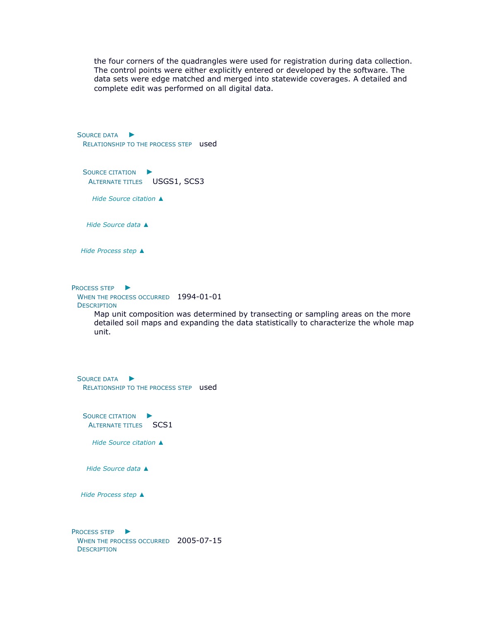the four corners of the quadrangles were used for registration during data collection. The control points were either explicitly entered or developed by the software. The data sets were edge matched and merged into statewide coverages. A detailed and complete edit was performed on all digital data.

S[OURCE DATA](file:///C:/Users/swalker/AppData/Local/Temp/arc6F0A/tmpDEEE.tmp.htm%23ID0EAAPAGA) ► RELATIONSHIP TO THE PROCESS STEP **used** S[OURCE CITATION](file:///C:/Users/swalker/AppData/Local/Temp/arc6F0A/tmpDEEE.tmp.htm%23ID0EAAAPAGA)  $\blacktriangleright$ ALTERNATE TITLES USGS1, SCS3 *Hide [Source citation](file:///C:/Users/swalker/AppData/Local/Temp/arc6F0A/tmpDEEE.tmp.htm%23ID0EAAAPAGA) ▲ Hide [Source data](file:///C:/Users/swalker/AppData/Local/Temp/arc6F0A/tmpDEEE.tmp.htm%23ID0EAAPAGA) ▲ Hide [Process step](file:///C:/Users/swalker/AppData/Local/Temp/arc6F0A/tmpDEEE.tmp.htm%23ID0ECPAGA) ▲* P[ROCESS STEP](file:///C:/Users/swalker/AppData/Local/Temp/arc6F0A/tmpDEEE.tmp.htm%23ID0ECOAGA) ► WHEN THE PROCESS OCCURRED 1994-01-01 **DESCRIPTION** Map unit composition was determined by transecting or sampling areas on the more detailed soil maps and expanding the data statistically to characterize the whole map unit. S[OURCE DATA](file:///C:/Users/swalker/AppData/Local/Temp/arc6F0A/tmpDEEE.tmp.htm%23ID0EAAOAGA) ► RELATIONSHIP TO THE PROCESS STEP **used** S[OURCE CITATION](file:///C:/Users/swalker/AppData/Local/Temp/arc6F0A/tmpDEEE.tmp.htm%23ID0EAAAOAGA) ► ALTERNATE TITLES SCS1 *Hide [Source citation](file:///C:/Users/swalker/AppData/Local/Temp/arc6F0A/tmpDEEE.tmp.htm%23ID0EAAAOAGA) ▲ Hide [Source data](file:///C:/Users/swalker/AppData/Local/Temp/arc6F0A/tmpDEEE.tmp.htm%23ID0EAAOAGA) ▲ Hide [Process step](file:///C:/Users/swalker/AppData/Local/Temp/arc6F0A/tmpDEEE.tmp.htm%23ID0ECOAGA) ▲* P[ROCESS STEP](file:///C:/Users/swalker/AppData/Local/Temp/arc6F0A/tmpDEEE.tmp.htm%23ID0ECNAGA) ► WHEN THE PROCESS OCCURRED 2005-07-15 **DESCRIPTION**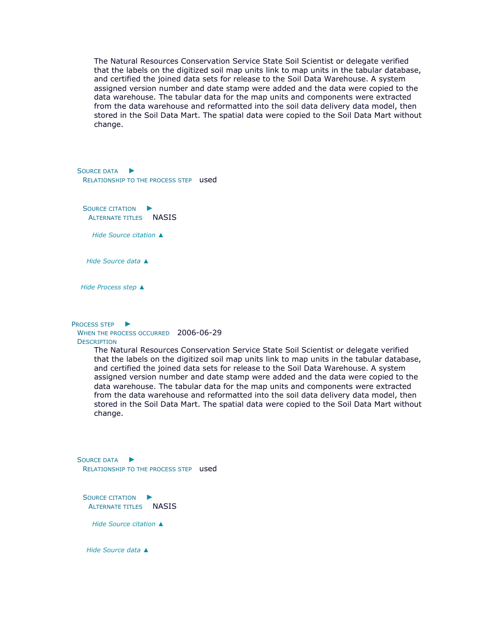The Natural Resources Conservation Service State Soil Scientist or delegate verified that the labels on the digitized soil map units link to map units in the tabular database, and certified the joined data sets for release to the Soil Data Warehouse. A system assigned version number and date stamp were added and the data were copied to the data warehouse. The tabular data for the map units and components were extracted from the data warehouse and reformatted into the soil data delivery data model, then stored in the Soil Data Mart. The spatial data were copied to the Soil Data Mart without change.

S[OURCE DATA](file:///C:/Users/swalker/AppData/Local/Temp/arc6F0A/tmpDEEE.tmp.htm%23ID0EAANAGA) ► RELATIONSHIP TO THE PROCESS STEP **used** 

S[OURCE CITATION](file:///C:/Users/swalker/AppData/Local/Temp/arc6F0A/tmpDEEE.tmp.htm%23ID0EAAANAGA) ► ALTERNATE TITLES NASIS

*Hide [Source citation](file:///C:/Users/swalker/AppData/Local/Temp/arc6F0A/tmpDEEE.tmp.htm%23ID0EAAANAGA) ▲*

*Hide [Source data](file:///C:/Users/swalker/AppData/Local/Temp/arc6F0A/tmpDEEE.tmp.htm%23ID0EAANAGA) ▲*

*Hide [Process step](file:///C:/Users/swalker/AppData/Local/Temp/arc6F0A/tmpDEEE.tmp.htm%23ID0ECNAGA) ▲*

P[ROCESS STEP](file:///C:/Users/swalker/AppData/Local/Temp/arc6F0A/tmpDEEE.tmp.htm%23ID0ECMAGA) ►

WHEN THE PROCESS OCCURRED 2006-06-29 **DESCRIPTION** 

> The Natural Resources Conservation Service State Soil Scientist or delegate verified that the labels on the digitized soil map units link to map units in the tabular database, and certified the joined data sets for release to the Soil Data Warehouse. A system assigned version number and date stamp were added and the data were copied to the data warehouse. The tabular data for the map units and components were extracted from the data warehouse and reformatted into the soil data delivery data model, then stored in the Soil Data Mart. The spatial data were copied to the Soil Data Mart without change.

S[OURCE DATA](file:///C:/Users/swalker/AppData/Local/Temp/arc6F0A/tmpDEEE.tmp.htm%23ID0EAAMAGA) ► RELATIONSHIP TO THE PROCESS STEP used

S[OURCE CITATION](file:///C:/Users/swalker/AppData/Local/Temp/arc6F0A/tmpDEEE.tmp.htm%23ID0EAAAMAGA) ► ALTERNATE TITLES NASIS

*Hide [Source citation](file:///C:/Users/swalker/AppData/Local/Temp/arc6F0A/tmpDEEE.tmp.htm%23ID0EAAAMAGA) ▲*

*Hide [Source data](file:///C:/Users/swalker/AppData/Local/Temp/arc6F0A/tmpDEEE.tmp.htm%23ID0EAAMAGA) ▲*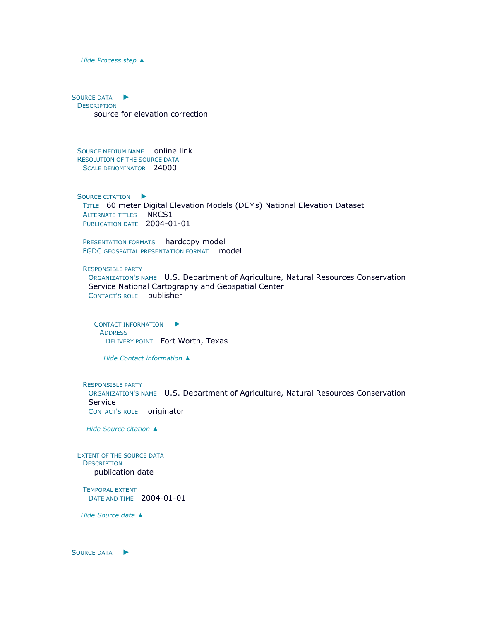#### *Hide [Process step](file:///C:/Users/swalker/AppData/Local/Temp/arc6F0A/tmpDEEE.tmp.htm%23ID0ECMAGA) ▲*

S[OURCE DATA](file:///C:/Users/swalker/AppData/Local/Temp/arc6F0A/tmpDEEE.tmp.htm%23ID0EELAGA) ► **DESCRIPTION** source for elevation correction

SOURCE MEDIUM NAME online link RESOLUTION OF THE SOURCE DATA SCALE DENOMINATOR 24000

S[OURCE CITATION](file:///C:/Users/swalker/AppData/Local/Temp/arc6F0A/tmpDEEE.tmp.htm%23ID0EGBLAGA) ► TITLE 60 meter Digital Elevation Models (DEMs) National Elevation Dataset ALTERNATE TITLES NRCS1 PUBLICATION DATE 2004-01-01

PRESENTATION FORMATS hardcopy model FGDC GEOSPATIAL PRESENTATION FORMAT model

RESPONSIBLE PARTY

ORGANIZATION'S NAME U.S. Department of Agriculture, Natural Resources Conservation Service National Cartography and Geospatial Center CONTACT'S ROLE publisher

C[ONTACT INFORMATION](file:///C:/Users/swalker/AppData/Local/Temp/arc6F0A/tmpDEEE.tmp.htm%23ID0EBDBLAGA) ▶ ADDRESS DELIVERY POINT Fort Worth, Texas

*Hide [Contact information](file:///C:/Users/swalker/AppData/Local/Temp/arc6F0A/tmpDEEE.tmp.htm%23ID0EBDBLAGA) ▲*

RESPONSIBLE PARTY

ORGANIZATION'S NAME U.S. Department of Agriculture, Natural Resources Conservation Service CONTACT'S ROLE originator

*Hide [Source citation](file:///C:/Users/swalker/AppData/Local/Temp/arc6F0A/tmpDEEE.tmp.htm%23ID0EGBLAGA) ▲*

EXTENT OF THE SOURCE DATA **DESCRIPTION** publication date

TEMPORAL EXTENT DATE AND TIME 2004-01-01

*Hide [Source data](file:///C:/Users/swalker/AppData/Local/Temp/arc6F0A/tmpDEEE.tmp.htm%23ID0EELAGA) ▲*

S[OURCE DATA](file:///C:/Users/swalker/AppData/Local/Temp/arc6F0A/tmpDEEE.tmp.htm%23ID0ECKAGA) ►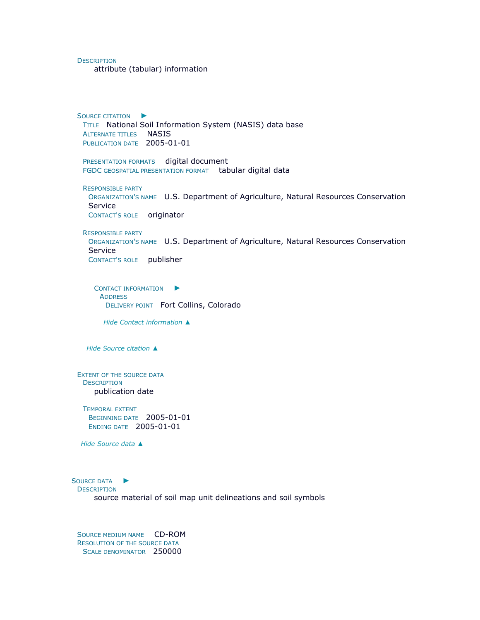**DESCRIPTION** 

attribute (tabular) information

S[OURCE CITATION](file:///C:/Users/swalker/AppData/Local/Temp/arc6F0A/tmpDEEE.tmp.htm%23ID0EGBKAGA) ► TITLE National Soil Information System (NASIS) data base ALTERNATE TITLES NASIS PUBLICATION DATE 2005-01-01

PRESENTATION FORMATS digital document FGDC GEOSPATIAL PRESENTATION FORMAT tabular digital data

RESPONSIBLE PARTY ORGANIZATION'S NAME U.S. Department of Agriculture, Natural Resources Conservation Service CONTACT'S ROLE originator

RESPONSIBLE PARTY

ORGANIZATION'S NAME U.S. Department of Agriculture, Natural Resources Conservation Service CONTACT'S ROLE publisher

C[ONTACT INFORMATION](file:///C:/Users/swalker/AppData/Local/Temp/arc6F0A/tmpDEEE.tmp.htm%23ID0EBCBKAGA)  $\blacktriangleright$ **ADDRESS** DELIVERY POINT Fort Collins, Colorado

*Hide [Contact information](file:///C:/Users/swalker/AppData/Local/Temp/arc6F0A/tmpDEEE.tmp.htm%23ID0EBCBKAGA) ▲*

*Hide [Source citation](file:///C:/Users/swalker/AppData/Local/Temp/arc6F0A/tmpDEEE.tmp.htm%23ID0EGBKAGA) ▲*

EXTENT OF THE SOURCE DATA **DESCRIPTION** publication date

TEMPORAL EXTENT BEGINNING DATE 2005-01-01 ENDING DATE 2005-01-01

*Hide [Source data](file:///C:/Users/swalker/AppData/Local/Temp/arc6F0A/tmpDEEE.tmp.htm%23ID0ECKAGA) ▲*

S[OURCE DATA](file:///C:/Users/swalker/AppData/Local/Temp/arc6F0A/tmpDEEE.tmp.htm%23ID0EEJAGA) ▶

**DESCRIPTION** 

source material of soil map unit delineations and soil symbols

SOURCE MEDIUM NAME CD-ROM RESOLUTION OF THE SOURCE DATA SCALE DENOMINATOR 250000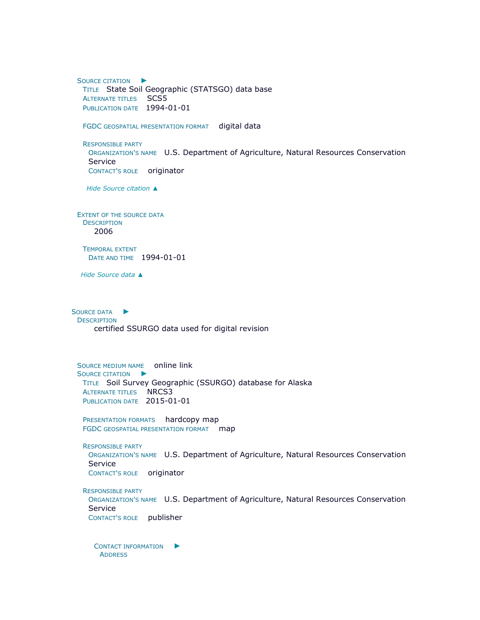S[OURCE CITATION](file:///C:/Users/swalker/AppData/Local/Temp/arc6F0A/tmpDEEE.tmp.htm%23ID0EEBJAGA) ► TITLE State Soil Geographic (STATSGO) data base ALTERNATE TITLES SCS5 PUBLICATION DATE 1994-01-01 FGDC GEOSPATIAL PRESENTATION FORMAT digital data RESPONSIBLE PARTY ORGANIZATION'S NAME U.S. Department of Agriculture, Natural Resources Conservation Service CONTACT'S ROLE originator *Hide [Source citation](file:///C:/Users/swalker/AppData/Local/Temp/arc6F0A/tmpDEEE.tmp.htm%23ID0EEBJAGA) ▲* EXTENT OF THE SOURCE DATA **DESCRIPTION** 2006 TEMPORAL EXTENT DATE AND TIME 1994-01-01 *Hide [Source data](file:///C:/Users/swalker/AppData/Local/Temp/arc6F0A/tmpDEEE.tmp.htm%23ID0EEJAGA) ▲* S[OURCE DATA](file:///C:/Users/swalker/AppData/Local/Temp/arc6F0A/tmpDEEE.tmp.htm%23ID0EDIAGA) ► **DESCRIPTION** certified SSURGO data used for digital revision SOURCE MEDIUM NAME online lin[k](file:///C:/Users/swalker/AppData/Local/Temp/arc6F0A/tmpDEEE.tmp.htm%23ID0EGBIAGA) S[OURCE CITATION](file:///C:/Users/swalker/AppData/Local/Temp/arc6F0A/tmpDEEE.tmp.htm%23ID0EGBIAGA) ► TITLE Soil Survey Geographic (SSURGO) database for Alaska ALTERNATE TITLES NRCS3 PUBLICATION DATE 2015-01-01 PRESENTATION FORMATS hardcopy map FGDC GEOSPATIAL PRESENTATION FORMAT map RESPONSIBLE PARTY ORGANIZATION'S NAME U.S. Department of Agriculture, Natural Resources Conservation Service CONTACT'S ROLE originator RESPONSIBLE PARTY ORGANIZATION'S NAME U.S. Department of Agriculture, Natural Resources Conservation Service CONTACT'S ROLE publisher C[ONTACT INFORMATION](file:///C:/Users/swalker/AppData/Local/Temp/arc6F0A/tmpDEEE.tmp.htm%23ID0EBCBIAGA) ▶

**ADDRESS**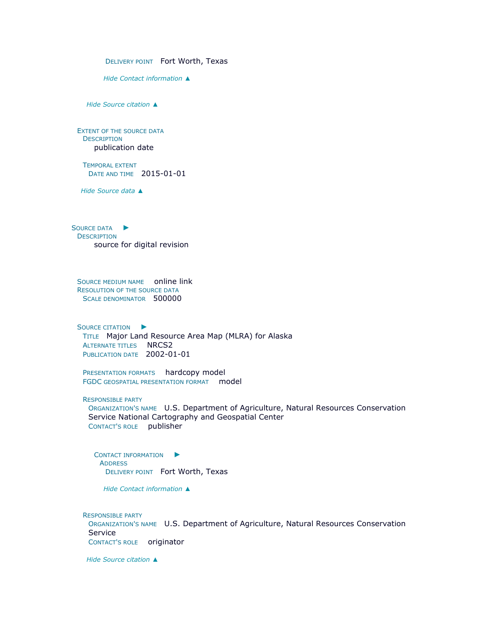DELIVERY POINT Fort Worth, Texas

*Hide [Contact information](file:///C:/Users/swalker/AppData/Local/Temp/arc6F0A/tmpDEEE.tmp.htm%23ID0EBCBIAGA) ▲*

*Hide [Source citation](file:///C:/Users/swalker/AppData/Local/Temp/arc6F0A/tmpDEEE.tmp.htm%23ID0EGBIAGA) ▲*

EXTENT OF THE SOURCE DATA **DESCRIPTION** publication date

TEMPORAL EXTENT DATE AND TIME 2015-01-01

*Hide [Source data](file:///C:/Users/swalker/AppData/Local/Temp/arc6F0A/tmpDEEE.tmp.htm%23ID0EDIAGA) ▲*

S[OURCE DATA](file:///C:/Users/swalker/AppData/Local/Temp/arc6F0A/tmpDEEE.tmp.htm%23ID0EEHAGA) ► **DESCRIPTION** source for digital revision

SOURCE MEDIUM NAME online link RESOLUTION OF THE SOURCE DATA SCALE DENOMINATOR 500000

S[OURCE CITATION](file:///C:/Users/swalker/AppData/Local/Temp/arc6F0A/tmpDEEE.tmp.htm%23ID0EGBHAGA)  $\blacktriangleright$ TITLE Major Land Resource Area Map (MLRA) for Alaska ALTERNATE TITLES NRCS2 PUBLICATION DATE 2002-01-01

PRESENTATION FORMATS hardcopy model FGDC GEOSPATIAL PRESENTATION FORMAT model

RESPONSIBLE PARTY

ORGANIZATION'S NAME U.S. Department of Agriculture, Natural Resources Conservation Service National Cartography and Geospatial Center CONTACT'S ROLE publisher

C[ONTACT INFORMATION](file:///C:/Users/swalker/AppData/Local/Temp/arc6F0A/tmpDEEE.tmp.htm%23ID0EBDBHAGA)  $\blacktriangleright$ **ADDRESS** DELIVERY POINT Fort Worth, Texas

*Hide [Contact information](file:///C:/Users/swalker/AppData/Local/Temp/arc6F0A/tmpDEEE.tmp.htm%23ID0EBDBHAGA) ▲*

RESPONSIBLE PARTY ORGANIZATION'S NAME U.S. Department of Agriculture, Natural Resources Conservation Service CONTACT'S ROLE originator

*Hide [Source citation](file:///C:/Users/swalker/AppData/Local/Temp/arc6F0A/tmpDEEE.tmp.htm%23ID0EGBHAGA) ▲*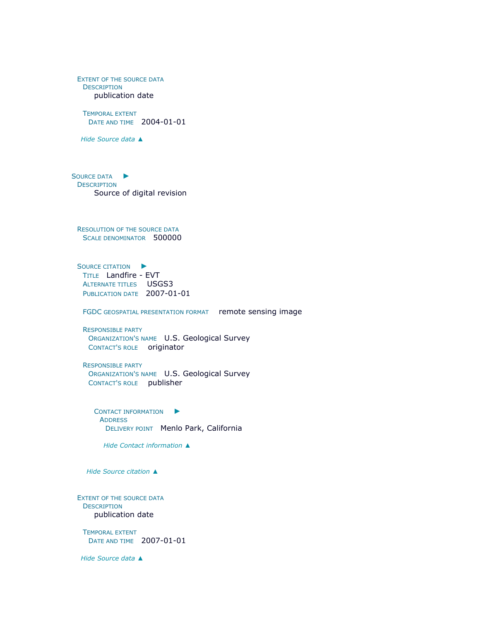EXTENT OF THE SOURCE DATA **DESCRIPTION** publication date

TEMPORAL EXTENT DATE AND TIME 2004-01-01

*Hide [Source data](file:///C:/Users/swalker/AppData/Local/Temp/arc6F0A/tmpDEEE.tmp.htm%23ID0EEHAGA) ▲*

S[OURCE DATA](file:///C:/Users/swalker/AppData/Local/Temp/arc6F0A/tmpDEEE.tmp.htm%23ID0EDGAGA) ► **DESCRIPTION** Source of digital revision

RESOLUTION OF THE SOURCE DATA SCALE DENOMINATOR 500000

S[OURCE CITATION](file:///C:/Users/swalker/AppData/Local/Temp/arc6F0A/tmpDEEE.tmp.htm%23ID0EFBGAGA)  $\blacktriangleright$ TITLE Landfire - EVT ALTERNATE TITLES USGS3 PUBLICATION DATE 2007-01-01

FGDC GEOSPATIAL PRESENTATION FORMAT remote sensing image

RESPONSIBLE PARTY ORGANIZATION'S NAME U.S. Geological Survey CONTACT'S ROLE originator

RESPONSIBLE PARTY ORGANIZATION'S NAME U.S. Geological Survey CONTACT'S ROLE publisher

C[ONTACT INFORMATION](file:///C:/Users/swalker/AppData/Local/Temp/arc6F0A/tmpDEEE.tmp.htm%23ID0EBBBGAGA)  $\blacktriangleright$ **ADDRESS** DELIVERY POINT Menlo Park, California

*Hide [Contact information](file:///C:/Users/swalker/AppData/Local/Temp/arc6F0A/tmpDEEE.tmp.htm%23ID0EBBBGAGA) ▲*

*Hide [Source citation](file:///C:/Users/swalker/AppData/Local/Temp/arc6F0A/tmpDEEE.tmp.htm%23ID0EFBGAGA) ▲*

EXTENT OF THE SOURCE DATA **DESCRIPTION** publication date

TEMPORAL EXTENT DATE AND TIME 2007-01-01

*Hide [Source data](file:///C:/Users/swalker/AppData/Local/Temp/arc6F0A/tmpDEEE.tmp.htm%23ID0EDGAGA) ▲*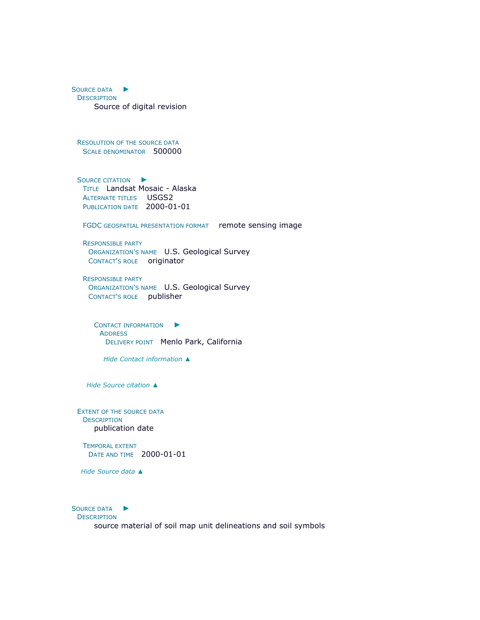S[OURCE DATA](file:///C:/Users/swalker/AppData/Local/Temp/arc6F0A/tmpDEEE.tmp.htm%23ID0EDFAGA) ► **DESCRIPTION** Source of digital revision

RESOLUTION OF THE SOURCE DATA SCALE DENOMINATOR 500000

S[OURCE CITATION](file:///C:/Users/swalker/AppData/Local/Temp/arc6F0A/tmpDEEE.tmp.htm%23ID0EFBFAGA)  $\blacktriangleright$ TITLE Landsat Mosaic - Alaska **ALTERNATE TITLES** USGS2 PUBLICATION DATE 2000-01-01

FGDC GEOSPATIAL PRESENTATION FORMAT remote sensing image

RESPONSIBLE PARTY ORGANIZATION'S NAME U.S. Geological Survey CONTACT'S ROLE originator

RESPONSIBLE PARTY ORGANIZATION'S NAME U.S. Geological Survey CONTACT'S ROLE publisher

C[ONTACT INFORMATION](file:///C:/Users/swalker/AppData/Local/Temp/arc6F0A/tmpDEEE.tmp.htm%23ID0EBBBFAGA)  $\blacktriangleright$ **ADDRESS** DELIVERY POINT Menlo Park, California

*Hide [Contact information](file:///C:/Users/swalker/AppData/Local/Temp/arc6F0A/tmpDEEE.tmp.htm%23ID0EBBBFAGA) ▲*

*Hide [Source citation](file:///C:/Users/swalker/AppData/Local/Temp/arc6F0A/tmpDEEE.tmp.htm%23ID0EFBFAGA) ▲*

EXTENT OF THE SOURCE DATA **DESCRIPTION** publication date

TEMPORAL EXTENT DATE AND TIME 2000-01-01

*Hide [Source data](file:///C:/Users/swalker/AppData/Local/Temp/arc6F0A/tmpDEEE.tmp.htm%23ID0EDFAGA) ▲*

S[OURCE DATA](file:///C:/Users/swalker/AppData/Local/Temp/arc6F0A/tmpDEEE.tmp.htm%23ID0EEEAGA) ▶ **DESCRIPTION** source material of soil map unit delineations and soil symbols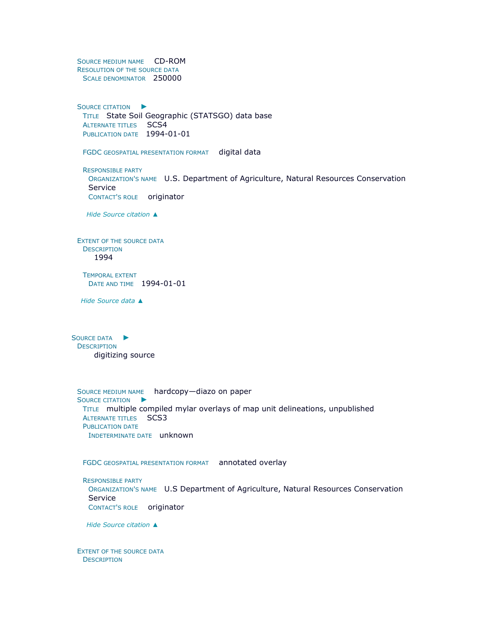SOURCE MEDIUM NAME CD-ROM RESOLUTION OF THE SOURCE DATA SCALE DENOMINATOR 250000

S[OURCE CITATION](file:///C:/Users/swalker/AppData/Local/Temp/arc6F0A/tmpDEEE.tmp.htm%23ID0EEBEAGA)  $\blacktriangleright$ TITLE State Soil Geographic (STATSGO) data base ALTERNATE TITLES SCS4 PUBLICATION DATE 1994-01-01

FGDC GEOSPATIAL PRESENTATION FORMAT digital data

RESPONSIBLE PARTY ORGANIZATION'S NAME U.S. Department of Agriculture, Natural Resources Conservation Service CONTACT'S ROLE originator

*Hide [Source citation](file:///C:/Users/swalker/AppData/Local/Temp/arc6F0A/tmpDEEE.tmp.htm%23ID0EEBEAGA) ▲*

EXTENT OF THE SOURCE DATA **DESCRIPTION** 1994

TEMPORAL EXTENT DATE AND TIME 1994-01-01

*Hide [Source data](file:///C:/Users/swalker/AppData/Local/Temp/arc6F0A/tmpDEEE.tmp.htm%23ID0EEEAGA) ▲*

S[OURCE DATA](file:///C:/Users/swalker/AppData/Local/Temp/arc6F0A/tmpDEEE.tmp.htm%23ID0EDDAGA) ▶ **DESCRIPTION** digitizing source

SOURCE MEDIUM NAME hardcopy—diazo on pape[r](file:///C:/Users/swalker/AppData/Local/Temp/arc6F0A/tmpDEEE.tmp.htm%23ID0EEBDAGA) S[OURCE CITATION](file:///C:/Users/swalker/AppData/Local/Temp/arc6F0A/tmpDEEE.tmp.htm%23ID0EEBDAGA) ► TITLE multiple compiled mylar overlays of map unit delineations, unpublished ALTERNATE TITLES SCS3 PUBLICATION DATE INDETERMINATE DATE unknown

FGDC GEOSPATIAL PRESENTATION FORMAT annotated overlay

RESPONSIBLE PARTY ORGANIZATION'S NAME U.S Department of Agriculture, Natural Resources Conservation Service CONTACT'S ROLE originator

*Hide [Source citation](file:///C:/Users/swalker/AppData/Local/Temp/arc6F0A/tmpDEEE.tmp.htm%23ID0EEBDAGA) ▲*

EXTENT OF THE SOURCE DATA **DESCRIPTION**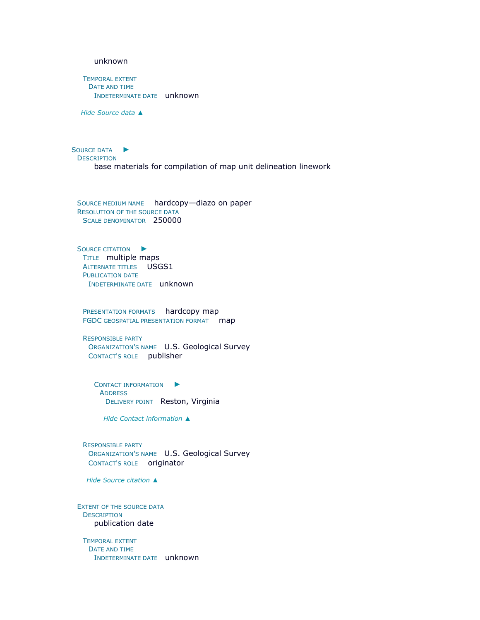#### unknown

TEMPORAL EXTENT DATE AND TIME INDETERMINATE DATE unknown

*Hide [Source data](file:///C:/Users/swalker/AppData/Local/Temp/arc6F0A/tmpDEEE.tmp.htm%23ID0EDDAGA) ▲*

S[OURCE DATA](file:///C:/Users/swalker/AppData/Local/Temp/arc6F0A/tmpDEEE.tmp.htm%23ID0EECAGA) ► **DESCRIPTION** base materials for compilation of map unit delineation linework

SOURCE MEDIUM NAME hardcopy—diazo on paper RESOLUTION OF THE SOURCE DATA SCALE DENOMINATOR 250000

S[OURCE CITATION](file:///C:/Users/swalker/AppData/Local/Temp/arc6F0A/tmpDEEE.tmp.htm%23ID0EGBCAGA)  $\blacktriangleright$ TITLE multiple maps **ALTERNATE TITLES** USGS1 PUBLICATION DATE INDETERMINATE DATE unknown

PRESENTATION FORMATS hardcopy map FGDC GEOSPATIAL PRESENTATION FORMAT map

RESPONSIBLE PARTY ORGANIZATION'S NAME U.S. Geological Survey CONTACT'S ROLE publisher

C[ONTACT INFORMATION](file:///C:/Users/swalker/AppData/Local/Temp/arc6F0A/tmpDEEE.tmp.htm%23ID0EBDBCAGA)  $\blacktriangleright$ ADDRESS DELIVERY POINT Reston, Virginia

*Hide [Contact information](file:///C:/Users/swalker/AppData/Local/Temp/arc6F0A/tmpDEEE.tmp.htm%23ID0EBDBCAGA) ▲*

RESPONSIBLE PARTY ORGANIZATION'S NAME U.S. Geological Survey CONTACT'S ROLE originator

*Hide [Source citation](file:///C:/Users/swalker/AppData/Local/Temp/arc6F0A/tmpDEEE.tmp.htm%23ID0EGBCAGA) ▲*

EXTENT OF THE SOURCE DATA **DESCRIPTION** publication date

TEMPORAL EXTENT DATE AND TIME INDETERMINATE DATE unknown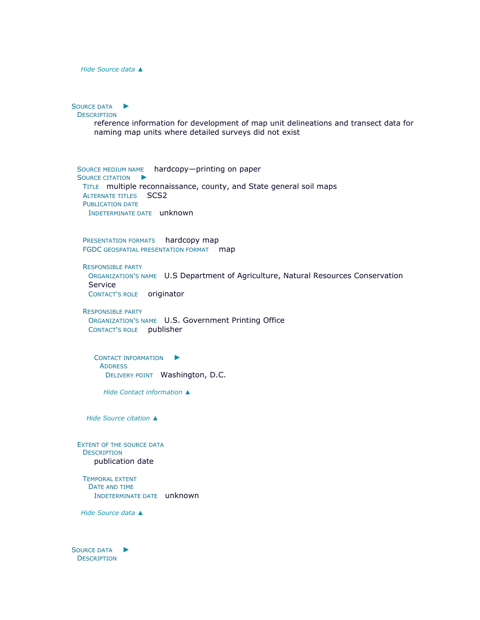*Hide [Source data](file:///C:/Users/swalker/AppData/Local/Temp/arc6F0A/tmpDEEE.tmp.htm%23ID0EECAGA) ▲*

S[OURCE DATA](file:///C:/Users/swalker/AppData/Local/Temp/arc6F0A/tmpDEEE.tmp.htm%23ID0EDBAGA) ► **DESCRIPTION** reference information for development of map unit delineations and transect data for naming map units where detailed surveys did not exist SOURCE MEDIUM NAME hardcopy—printing on pape[r](file:///C:/Users/swalker/AppData/Local/Temp/arc6F0A/tmpDEEE.tmp.htm%23ID0EGBBAGA) S[OURCE CITATION](file:///C:/Users/swalker/AppData/Local/Temp/arc6F0A/tmpDEEE.tmp.htm%23ID0EGBBAGA) ▶ TITLE multiple reconnaissance, county, and State general soil maps ALTERNATE TITLES SCS2

PUBLICATION DATE INDETERMINATE DATE unknown

PRESENTATION FORMATS hardcopy map FGDC GEOSPATIAL PRESENTATION FORMAT map

RESPONSIBLE PARTY

ORGANIZATION'S NAME U.S Department of Agriculture, Natural Resources Conservation Service CONTACT'S ROLE originator

RESPONSIBLE PARTY ORGANIZATION'S NAME U.S. Government Printing Office CONTACT'S ROLE publisher

C[ONTACT INFORMATION](file:///C:/Users/swalker/AppData/Local/Temp/arc6F0A/tmpDEEE.tmp.htm%23ID0EBCBBAGA)  $\blacktriangleright$ **ADDRESS** DELIVERY POINT Washington, D.C.

*Hide [Contact information](file:///C:/Users/swalker/AppData/Local/Temp/arc6F0A/tmpDEEE.tmp.htm%23ID0EBCBBAGA) ▲*

*Hide [Source citation](file:///C:/Users/swalker/AppData/Local/Temp/arc6F0A/tmpDEEE.tmp.htm%23ID0EGBBAGA) ▲*

EXTENT OF THE SOURCE DATA **DESCRIPTION** publication date

TEMPORAL EXTENT DATE AND TIME INDETERMINATE DATE unknown

*Hide [Source data](file:///C:/Users/swalker/AppData/Local/Temp/arc6F0A/tmpDEEE.tmp.htm%23ID0EDBAGA) ▲*

S[OURCE DATA](file:///C:/Users/swalker/AppData/Local/Temp/arc6F0A/tmpDEEE.tmp.htm%23ID0EDAAGA) ► **DESCRIPTION**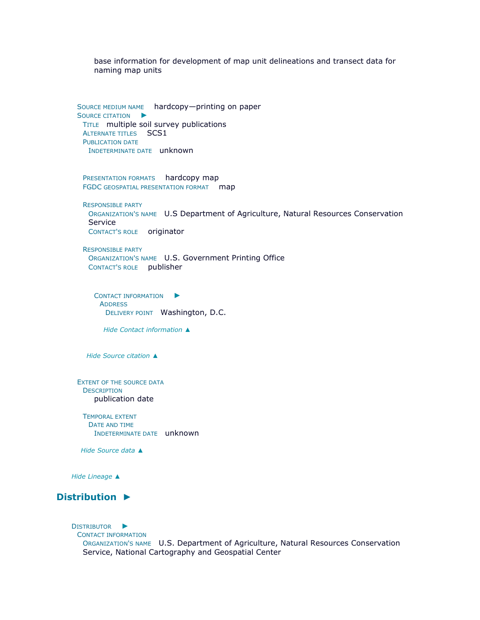base information for development of map unit delineations and transect data for naming map units

SOURCE MEDIUM NAME hardcopy—printing on pape[r](file:///C:/Users/swalker/AppData/Local/Temp/arc6F0A/tmpDEEE.tmp.htm%23ID0EGBAAGA) S[OURCE CITATION](file:///C:/Users/swalker/AppData/Local/Temp/arc6F0A/tmpDEEE.tmp.htm%23ID0EGBAAGA) ▶ TITLE multiple soil survey publications ALTERNATE TITLES SCS1 PUBLICATION DATE INDETERMINATE DATE unknown

PRESENTATION FORMATS hardcopy map FGDC GEOSPATIAL PRESENTATION FORMAT map

RESPONSIBLE PARTY ORGANIZATION'S NAME U.S Department of Agriculture, Natural Resources Conservation Service CONTACT'S ROLE originator

RESPONSIBLE PARTY ORGANIZATION'S NAME U.S. Government Printing Office CONTACT'S ROLE publisher

C[ONTACT INFORMATION](file:///C:/Users/swalker/AppData/Local/Temp/arc6F0A/tmpDEEE.tmp.htm%23ID0EBCBAAGA)  $\blacktriangleright$ **ADDRESS** DELIVERY POINT Washington, D.C.

*Hide [Contact information](file:///C:/Users/swalker/AppData/Local/Temp/arc6F0A/tmpDEEE.tmp.htm%23ID0EBCBAAGA) ▲*

*Hide [Source citation](file:///C:/Users/swalker/AppData/Local/Temp/arc6F0A/tmpDEEE.tmp.htm%23ID0EGBAAGA) ▲*

EXTENT OF THE SOURCE DATA **DESCRIPTION** publication date

TEMPORAL EXTENT DATE AND TIME INDETERMINATE DATE unknown

*Hide [Source data](file:///C:/Users/swalker/AppData/Local/Temp/arc6F0A/tmpDEEE.tmp.htm%23ID0EDAAGA) ▲*

*Hide [Lineage](file:///C:/Users/swalker/AppData/Local/Temp/arc6F0A/tmpDEEE.tmp.htm%23ID0EAGA) ▲*

# **[Distribution](file:///C:/Users/swalker/AppData/Local/Temp/arc6F0A/tmpDEEE.tmp.htm%23ID0EIA) ►**

D[ISTRIBUTOR](file:///C:/Users/swalker/AppData/Local/Temp/arc6F0A/tmpDEEE.tmp.htm%23ID0EECIA)  $\blacktriangleright$ CONTACT INFORMATION ORGANIZATION'S NAME U.S. Department of Agriculture, Natural Resources Conservation Service, National Cartography and Geospatial Center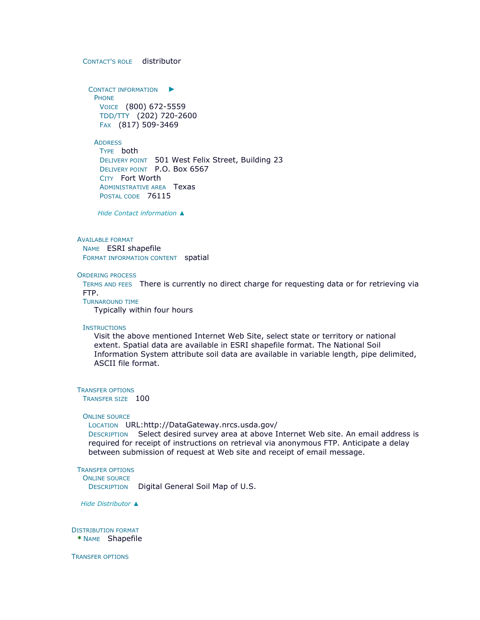CONTACT'S ROLE distributor

C[ONTACT INFORMATION](file:///C:/Users/swalker/AppData/Local/Temp/arc6F0A/tmpDEEE.tmp.htm%23ID0EBECIA)  $\blacktriangleright$ **PHONE** VOICE (800) 672-5559 TDD/TTY (202) 720-2600 FAX (817) 509-3469

**ADDRESS** TYPE both DELIVERY POINT 501 West Felix Street, Building 23 DELIVERY POINT P.O. Box 6567 CITY Fort Worth ADMINISTRATIVE AREA Texas POSTAL CODE 76115

*Hide [Contact information](file:///C:/Users/swalker/AppData/Local/Temp/arc6F0A/tmpDEEE.tmp.htm%23ID0EBECIA) ▲*

#### AVAILABLE FORMAT

NAME ESRI shapefile FORMAT INFORMATION CONTENT spatial

#### ORDERING PROCESS

TERMS AND FEES There is currently no direct charge for requesting data or for retrieving via FTP.

TURNAROUND TIME

Typically within four hours

#### **INSTRUCTIONS**

Visit the above mentioned Internet Web Site, select state or territory or national extent. Spatial data are available in ESRI shapefile format. The National Soil Information System attribute soil data are available in variable length, pipe delimited, ASCII file format.

TRANSFER OPTIONS

TRANSFER SIZE 100

#### ONLINE SOURCE

LOCATION URL:http://DataGateway.nrcs.usda.gov/

DESCRIPTION Select desired survey area at above Internet Web site. An email address is required for receipt of instructions on retrieval via anonymous FTP. Anticipate a delay between submission of request at Web site and receipt of email message.

## TRANSFER OPTIONS

ONLINE SOURCE

DESCRIPTION Digital General Soil Map of U.S.

*Hide [Distributor](file:///C:/Users/swalker/AppData/Local/Temp/arc6F0A/tmpDEEE.tmp.htm%23ID0EECIA) ▲*

# DISTRIBUTION FORMAT

**\*** NAME Shapefile

TRANSFER OPTIONS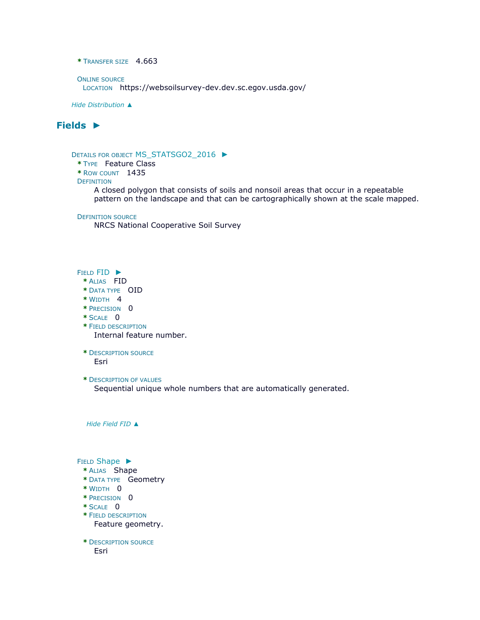```
* TRANSFER SIZE 4.663
```

```
ONLINE SOURCE
 LOCATION https://websoilsurvey-dev.dev.sc.egov.usda.gov/
```
*Hide [Distribution](file:///C:/Users/swalker/AppData/Local/Temp/arc6F0A/tmpDEEE.tmp.htm%23ID0EIA) ▲*

# **[Fields](file:///C:/Users/swalker/AppData/Local/Temp/arc6F0A/tmpDEEE.tmp.htm%23ID0EFA) ►**

## DETAILS FOR OBJECT [MS\\_STATSGO2\\_2016](file:///C:/Users/swalker/AppData/Local/Temp/arc6F0A/tmpDEEE.tmp.htm%23ID0EBFA) ►

- **\*** TYPE Feature Class
- **\*** ROW COUNT 1435

### **DEFINITION**

A closed polygon that consists of soils and nonsoil areas that occur in a repeatable pattern on the landscape and that can be cartographically shown at the scale mapped.

#### DEFINITION SOURCE

NRCS National Cooperative Soil Survey

### FIELD [FID](file:///C:/Users/swalker/AppData/Local/Temp/arc6F0A/tmpDEEE.tmp.htm%23ID0E0NB0BFA) ►

- **\*** ALIAS FID
- **\*** DATA TYPE OID
- **\*** WIDTH 4
- **\*** PRECISION 0
- **\*** SCALE 0
- **\*** FIELD DESCRIPTION Internal feature number.
- **\*** DESCRIPTION SOURCE Esri
- **\*** DESCRIPTION OF VALUES

Sequential unique whole numbers that are automatically generated.

*Hide [Field](file:///C:/Users/swalker/AppData/Local/Temp/arc6F0A/tmpDEEE.tmp.htm%23ID0E0NB0BFA) FID ▲*

### FIELD [Shape](file:///C:/Users/swalker/AppData/Local/Temp/arc6F0A/tmpDEEE.tmp.htm%23ID0E0MB0BFA) ►

- **\*** ALIAS Shape
- **\*** DATA TYPE Geometry
- **\*** WIDTH 0
- **\*** PRECISION 0
- **\*** SCALE 0
- **\*** FIELD DESCRIPTION Feature geometry.
- **\*** DESCRIPTION SOURCE Esri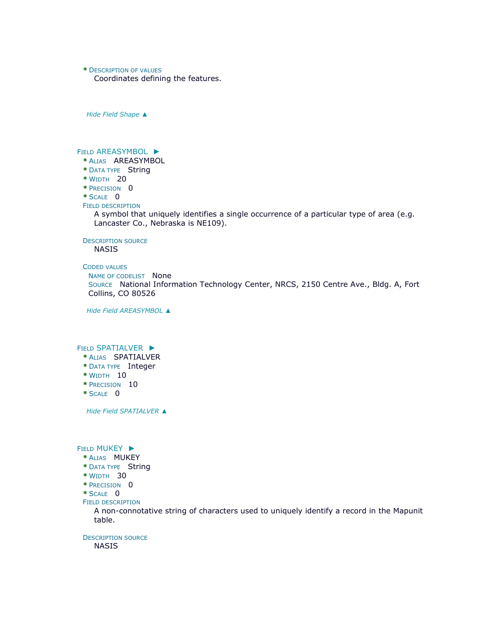**\*** DESCRIPTION OF VALUES

Coordinates defining the features.

*Hide Field [Shape](file:///C:/Users/swalker/AppData/Local/Temp/arc6F0A/tmpDEEE.tmp.htm%23ID0E0MB0BFA) ▲*

## FIELD [AREASYMBOL](file:///C:/Users/swalker/AppData/Local/Temp/arc6F0A/tmpDEEE.tmp.htm%23ID0E0LB0BFA) ►

- **\*** ALIAS AREASYMBOL
- **\*** DATA TYPE String
- **\*** WIDTH 20
- **\*** PRECISION 0
- **\*** SCALE 0

## FIELD DESCRIPTION

A symbol that uniquely identifies a single occurrence of a particular type of area (e.g. Lancaster Co., Nebraska is NE109).

DESCRIPTION SOURCE

NASIS

## CODED VALUES

```
NAME OF CODELIST None
```
SOURCE National Information Technology Center, NRCS, 2150 Centre Ave., Bldg. A, Fort Collins, CO 80526

*Hide Field [AREASYMBOL](file:///C:/Users/swalker/AppData/Local/Temp/arc6F0A/tmpDEEE.tmp.htm%23ID0E0LB0BFA) ▲*

## FIELD [SPATIALVER](file:///C:/Users/swalker/AppData/Local/Temp/arc6F0A/tmpDEEE.tmp.htm%23ID0E0KB0BFA) ►

- **\*** ALIAS SPATIALVER
- **\*** DATA TYPE Integer
- **\*** WIDTH 10
- **\*** PRECISION 10
- **\*** SCALE 0

*Hide Field [SPATIALVER](file:///C:/Users/swalker/AppData/Local/Temp/arc6F0A/tmpDEEE.tmp.htm%23ID0E0KB0BFA) ▲*

### FIELD [MUKEY](file:///C:/Users/swalker/AppData/Local/Temp/arc6F0A/tmpDEEE.tmp.htm%23ID0E0JB0BFA) ▶

- **\*** ALIAS MUKEY
- **\*** DATA TYPE String
- **\*** WIDTH 30
- **\*** PRECISION 0
- **\*** SCALE 0
- FIELD DESCRIPTION

A non-connotative string of characters used to uniquely identify a record in the Mapunit table.

DESCRIPTION SOURCE NASIS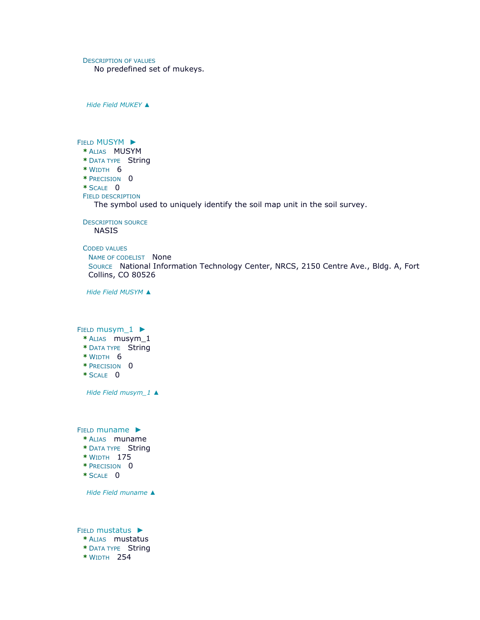DESCRIPTION OF VALUES

No predefined set of mukeys.

*Hide Field [MUKEY](file:///C:/Users/swalker/AppData/Local/Temp/arc6F0A/tmpDEEE.tmp.htm%23ID0E0JB0BFA) ▲*

FIELD [MUSYM](file:///C:/Users/swalker/AppData/Local/Temp/arc6F0A/tmpDEEE.tmp.htm%23ID0E0IB0BFA) ▶ **\*** ALIAS MUSYM **\*** DATA TYPE String **\*** WIDTH 6 **\*** PRECISION 0 **\*** SCALE 0 FIELD DESCRIPTION The symbol used to uniquely identify the soil map unit in the soil survey. DESCRIPTION SOURCE NASIS

CODED VALUES NAME OF CODELIST None SOURCE National Information Technology Center, NRCS, 2150 Centre Ave., Bldg. A, Fort Collins, CO 80526

*Hide Field [MUSYM](file:///C:/Users/swalker/AppData/Local/Temp/arc6F0A/tmpDEEE.tmp.htm%23ID0E0IB0BFA) ▲*

FIELD [musym\\_1](file:///C:/Users/swalker/AppData/Local/Temp/arc6F0A/tmpDEEE.tmp.htm%23ID0E0HB0BFA) ►

- **\*** ALIAS musym\_1
- **\*** DATA TYPE String
- **\*** WIDTH 6
- **\*** PRECISION 0
- **\*** SCALE 0

*Hide Field [musym\\_1](file:///C:/Users/swalker/AppData/Local/Temp/arc6F0A/tmpDEEE.tmp.htm%23ID0E0HB0BFA) ▲*

FIELD [muname](file:///C:/Users/swalker/AppData/Local/Temp/arc6F0A/tmpDEEE.tmp.htm%23ID0E0GB0BFA) ▶

- **\*** ALIAS muname
- **\*** DATA TYPE String
- **\*** WIDTH 175
- **\*** PRECISION 0
- **\*** SCALE 0

*Hide Field [muname](file:///C:/Users/swalker/AppData/Local/Temp/arc6F0A/tmpDEEE.tmp.htm%23ID0E0GB0BFA) ▲*

FIELD [mustatus](file:///C:/Users/swalker/AppData/Local/Temp/arc6F0A/tmpDEEE.tmp.htm%23ID0E0FB0BFA) ►

- **\*** ALIAS mustatus
- **\*** DATA TYPE String
- **\*** WIDTH 254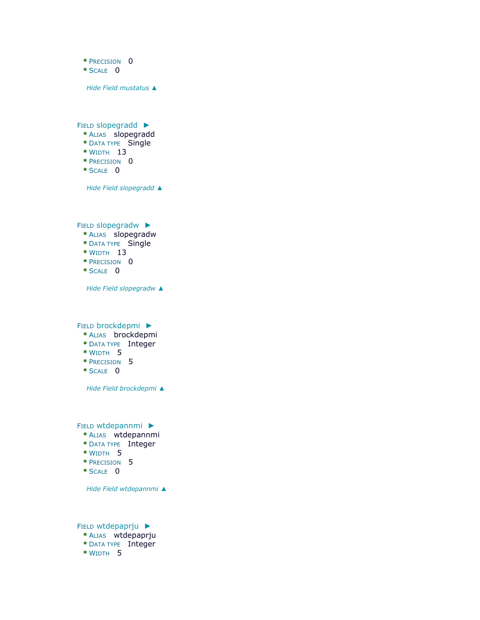**\*** PRECISION 0

**\*** SCALE 0

*Hide Field [mustatus](file:///C:/Users/swalker/AppData/Local/Temp/arc6F0A/tmpDEEE.tmp.htm%23ID0E0FB0BFA) ▲*

FIELD [slopegradd](file:///C:/Users/swalker/AppData/Local/Temp/arc6F0A/tmpDEEE.tmp.htm%23ID0E0EB0BFA) ►

- **\*** ALIAS slopegradd
- **\*** DATA TYPE Single
- **\*** WIDTH 13
- **\*** PRECISION 0
- **\*** SCALE 0

*Hide Field [slopegradd](file:///C:/Users/swalker/AppData/Local/Temp/arc6F0A/tmpDEEE.tmp.htm%23ID0E0EB0BFA) ▲*

FIELD [slopegradw](file:///C:/Users/swalker/AppData/Local/Temp/arc6F0A/tmpDEEE.tmp.htm%23ID0E0DB0BFA) ►

- **\*** ALIAS slopegradw
- **\*** DATA TYPE Single
- **\*** WIDTH 13
- **\*** PRECISION 0
- **\*** SCALE 0

*Hide Field [slopegradw](file:///C:/Users/swalker/AppData/Local/Temp/arc6F0A/tmpDEEE.tmp.htm%23ID0E0DB0BFA) ▲*

FIELD [brockdepmi](file:///C:/Users/swalker/AppData/Local/Temp/arc6F0A/tmpDEEE.tmp.htm%23ID0E0CB0BFA) ►

- **\*** ALIAS brockdepmi
- **\*** DATA TYPE Integer
- **\*** WIDTH 5
- **\*** PRECISION 5
- **\*** SCALE 0

*Hide Field [brockdepmi](file:///C:/Users/swalker/AppData/Local/Temp/arc6F0A/tmpDEEE.tmp.htm%23ID0E0CB0BFA) ▲*

FIELD [wtdepannmi](file:///C:/Users/swalker/AppData/Local/Temp/arc6F0A/tmpDEEE.tmp.htm%23ID0E0BB0BFA) ►

- **\*** ALIAS wtdepannmi
- **\*** DATA TYPE Integer
- **\*** WIDTH 5
- **\*** PRECISION 5
- **\*** SCALE 0

*Hide Field [wtdepannmi](file:///C:/Users/swalker/AppData/Local/Temp/arc6F0A/tmpDEEE.tmp.htm%23ID0E0BB0BFA) ▲*

FIELD [wtdepaprju](file:///C:/Users/swalker/AppData/Local/Temp/arc6F0A/tmpDEEE.tmp.htm%23ID0E0AB0BFA) ► **\*** ALIAS wtdepaprju **\*** DATA TYPE Integer **\*** WIDTH 5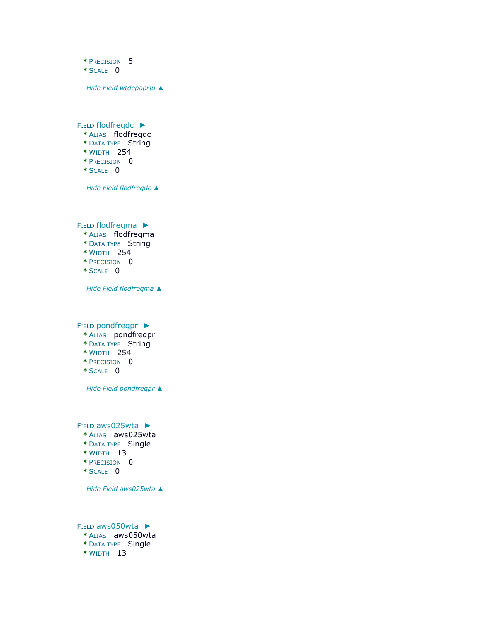- **\*** PRECISION 5
- **\*** SCALE 0

*Hide Field [wtdepaprju](file:///C:/Users/swalker/AppData/Local/Temp/arc6F0A/tmpDEEE.tmp.htm%23ID0E0AB0BFA) ▲*

FIELD [flodfreqdc](file:///C:/Users/swalker/AppData/Local/Temp/arc6F0A/tmpDEEE.tmp.htm%23ID0E6BFA) ►

- **\*** ALIAS flodfreqdc
- **\*** DATA TYPE String
- **\*** WIDTH 254
- **\*** PRECISION 0
- **\*** SCALE 0

*Hide Field [flodfreqdc](file:///C:/Users/swalker/AppData/Local/Temp/arc6F0A/tmpDEEE.tmp.htm%23ID0E6BFA) ▲*

FIELD [flodfreqma](file:///C:/Users/swalker/AppData/Local/Temp/arc6F0A/tmpDEEE.tmp.htm%23ID0E5BFA) ►

- **\*** ALIAS flodfreqma
- **\*** DATA TYPE String
- **\*** WIDTH 254
- **\*** PRECISION 0
- **\*** SCALE 0

*Hide Field [flodfreqma](file:///C:/Users/swalker/AppData/Local/Temp/arc6F0A/tmpDEEE.tmp.htm%23ID0E5BFA) ▲*

FIELD [pondfreqpr](file:///C:/Users/swalker/AppData/Local/Temp/arc6F0A/tmpDEEE.tmp.htm%23ID0E4BFA) ►

- **\*** ALIAS pondfreqpr
- **\*** DATA TYPE String
- **\*** WIDTH 254
- **\*** PRECISION 0
- **\*** SCALE 0

*Hide Field [pondfreqpr](file:///C:/Users/swalker/AppData/Local/Temp/arc6F0A/tmpDEEE.tmp.htm%23ID0E4BFA) ▲*

FIELD [aws025wta](file:///C:/Users/swalker/AppData/Local/Temp/arc6F0A/tmpDEEE.tmp.htm%23ID0E3BFA) ►

- **\*** ALIAS aws025wta
- **\*** DATA TYPE Single
- **\*** WIDTH 13
- **\*** PRECISION 0
- **\*** SCALE 0

*Hide Field [aws025wta](file:///C:/Users/swalker/AppData/Local/Temp/arc6F0A/tmpDEEE.tmp.htm%23ID0E3BFA) ▲*

FIELD [aws050wta](file:///C:/Users/swalker/AppData/Local/Temp/arc6F0A/tmpDEEE.tmp.htm%23ID0E2BFA) ► **\*** ALIAS aws050wta **\*** DATA TYPE Single **\*** WIDTH 13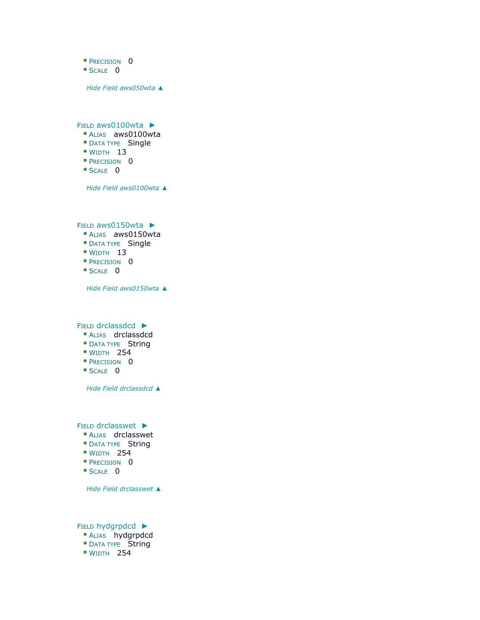- **\*** PRECISION 0
- **\*** SCALE 0

*Hide Field [aws050wta](file:///C:/Users/swalker/AppData/Local/Temp/arc6F0A/tmpDEEE.tmp.htm%23ID0E2BFA) ▲*

FIELD [aws0100wta](file:///C:/Users/swalker/AppData/Local/Temp/arc6F0A/tmpDEEE.tmp.htm%23ID0E1BFA) ►

- **\*** ALIAS aws0100wta
- **\*** DATA TYPE Single
- **\*** WIDTH 13
- **\*** PRECISION 0
- **\*** SCALE 0

*Hide Field [aws0100wta](file:///C:/Users/swalker/AppData/Local/Temp/arc6F0A/tmpDEEE.tmp.htm%23ID0E1BFA) ▲*

FIELD [aws0150wta](file:///C:/Users/swalker/AppData/Local/Temp/arc6F0A/tmpDEEE.tmp.htm%23ID0EZBFA) ►

- **\*** ALIAS aws0150wta
- **\*** DATA TYPE Single
- **\*** WIDTH 13
- **\*** PRECISION 0
- **\*** SCALE 0

*Hide Field [aws0150wta](file:///C:/Users/swalker/AppData/Local/Temp/arc6F0A/tmpDEEE.tmp.htm%23ID0EZBFA) ▲*

FIELD [drclassdcd](file:///C:/Users/swalker/AppData/Local/Temp/arc6F0A/tmpDEEE.tmp.htm%23ID0EYBFA) ►

- **\*** ALIAS drclassdcd
- **\*** DATA TYPE String
- **\*** WIDTH 254
- **\*** PRECISION 0
- **\*** SCALE 0

*Hide Field [drclassdcd](file:///C:/Users/swalker/AppData/Local/Temp/arc6F0A/tmpDEEE.tmp.htm%23ID0EYBFA) ▲*

FIELD [drclasswet](file:///C:/Users/swalker/AppData/Local/Temp/arc6F0A/tmpDEEE.tmp.htm%23ID0EXBFA) ►

- **\*** ALIAS drclasswet
- **\*** DATA TYPE String
- **\*** WIDTH 254
- **\*** PRECISION 0
- **\*** SCALE 0

*Hide Field [drclasswet](file:///C:/Users/swalker/AppData/Local/Temp/arc6F0A/tmpDEEE.tmp.htm%23ID0EXBFA) ▲*

FIELD [hydgrpdcd](file:///C:/Users/swalker/AppData/Local/Temp/arc6F0A/tmpDEEE.tmp.htm%23ID0EWBFA) ► **\*** ALIAS hydgrpdcd **\*** DATA TYPE String **\*** WIDTH 254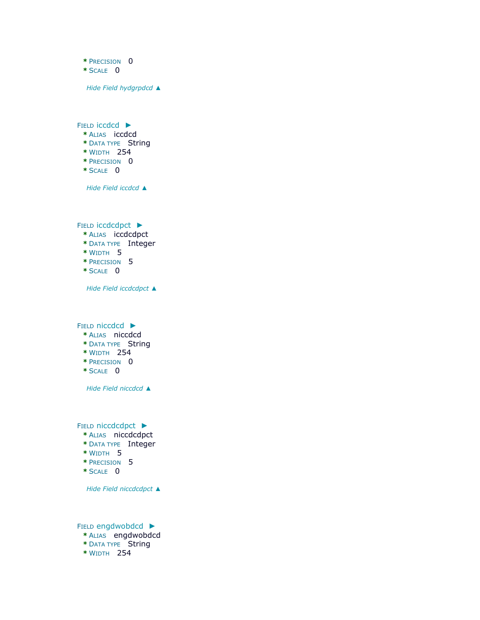- **\*** PRECISION 0
- **\*** SCALE 0

*Hide Field [hydgrpdcd](file:///C:/Users/swalker/AppData/Local/Temp/arc6F0A/tmpDEEE.tmp.htm%23ID0EWBFA) ▲*

FIELD [iccdcd](file:///C:/Users/swalker/AppData/Local/Temp/arc6F0A/tmpDEEE.tmp.htm%23ID0EVBFA) ►

- **\*** ALIAS iccdcd
- **\*** DATA TYPE String
- **\*** WIDTH 254
- **\*** PRECISION 0
- **\*** SCALE 0

*Hide Field [iccdcd](file:///C:/Users/swalker/AppData/Local/Temp/arc6F0A/tmpDEEE.tmp.htm%23ID0EVBFA) ▲*

FIELD [iccdcdpct](file:///C:/Users/swalker/AppData/Local/Temp/arc6F0A/tmpDEEE.tmp.htm%23ID0EUBFA) ►

- **\*** ALIAS iccdcdpct
- **\*** DATA TYPE Integer
- **\*** WIDTH 5
- **\*** PRECISION 5
- **\*** SCALE 0

*Hide Field [iccdcdpct](file:///C:/Users/swalker/AppData/Local/Temp/arc6F0A/tmpDEEE.tmp.htm%23ID0EUBFA) ▲*

FIELD [niccdcd](file:///C:/Users/swalker/AppData/Local/Temp/arc6F0A/tmpDEEE.tmp.htm%23ID0ETBFA) ►

- **\*** ALIAS niccdcd
- **\*** DATA TYPE String
- **\*** WIDTH 254
- **\*** PRECISION 0
- **\*** SCALE 0

*Hide Field [niccdcd](file:///C:/Users/swalker/AppData/Local/Temp/arc6F0A/tmpDEEE.tmp.htm%23ID0ETBFA) ▲*

FIELD [niccdcdpct](file:///C:/Users/swalker/AppData/Local/Temp/arc6F0A/tmpDEEE.tmp.htm%23ID0ESBFA) ▶

- **\*** ALIAS niccdcdpct
- **\*** DATA TYPE Integer
- **\*** WIDTH 5
- **\*** PRECISION 5
- **\*** SCALE 0

*Hide Field [niccdcdpct](file:///C:/Users/swalker/AppData/Local/Temp/arc6F0A/tmpDEEE.tmp.htm%23ID0ESBFA) ▲*

FIELD [engdwobdcd](file:///C:/Users/swalker/AppData/Local/Temp/arc6F0A/tmpDEEE.tmp.htm%23ID0ERBFA) ► **\*** ALIAS engdwobdcd

- **\*** DATA TYPE String
- **\*** WIDTH 254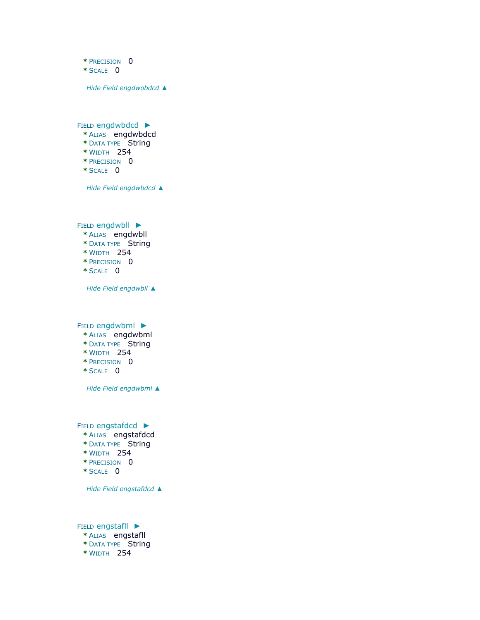- **\*** PRECISION 0
- **\*** SCALE 0

*Hide Field [engdwobdcd](file:///C:/Users/swalker/AppData/Local/Temp/arc6F0A/tmpDEEE.tmp.htm%23ID0ERBFA) ▲*

FIELD [engdwbdcd](file:///C:/Users/swalker/AppData/Local/Temp/arc6F0A/tmpDEEE.tmp.htm%23ID0EQBFA) ►

- **\*** ALIAS engdwbdcd
- **\*** DATA TYPE String
- **\*** WIDTH 254
- **\*** PRECISION 0
- **\*** SCALE 0

*Hide Field [engdwbdcd](file:///C:/Users/swalker/AppData/Local/Temp/arc6F0A/tmpDEEE.tmp.htm%23ID0EQBFA) ▲*

FIELD [engdwbll](file:///C:/Users/swalker/AppData/Local/Temp/arc6F0A/tmpDEEE.tmp.htm%23ID0EPBFA) ►

- **\*** ALIAS engdwbll
- **\*** DATA TYPE String
- **\*** WIDTH 254
- **\*** PRECISION 0
- **\*** SCALE 0

*Hide Field [engdwbll](file:///C:/Users/swalker/AppData/Local/Temp/arc6F0A/tmpDEEE.tmp.htm%23ID0EPBFA) ▲*

FIELD [engdwbml](file:///C:/Users/swalker/AppData/Local/Temp/arc6F0A/tmpDEEE.tmp.htm%23ID0EOBFA) ▶

- **\*** ALIAS engdwbml
- **\*** DATA TYPE String
- **\*** WIDTH 254
- **\*** PRECISION 0
- **\*** SCALE 0

*Hide Field [engdwbml](file:///C:/Users/swalker/AppData/Local/Temp/arc6F0A/tmpDEEE.tmp.htm%23ID0EOBFA) ▲*

FIELD [engstafdcd](file:///C:/Users/swalker/AppData/Local/Temp/arc6F0A/tmpDEEE.tmp.htm%23ID0ENBFA) ►

- **\*** ALIAS engstafdcd
- **\*** DATA TYPE String
- **\*** WIDTH 254
- **\*** PRECISION 0
- **\*** SCALE 0

*Hide Field [engstafdcd](file:///C:/Users/swalker/AppData/Local/Temp/arc6F0A/tmpDEEE.tmp.htm%23ID0ENBFA) ▲*

FIELD [engstafll](file:///C:/Users/swalker/AppData/Local/Temp/arc6F0A/tmpDEEE.tmp.htm%23ID0EMBFA) ► **\*** ALIAS engstafll

- **\*** DATA TYPE String
- **\*** WIDTH 254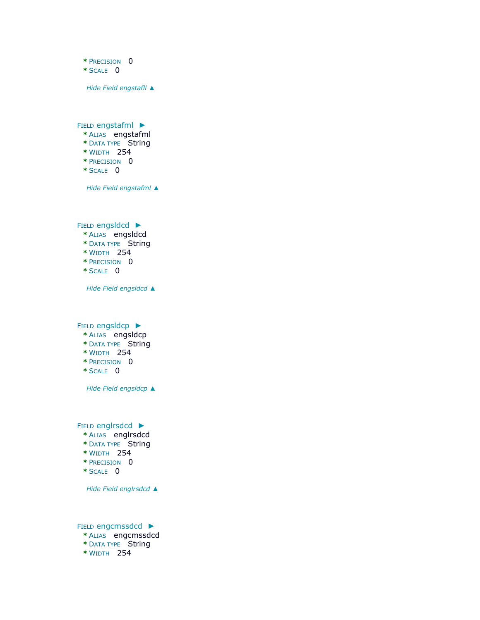- **\*** PRECISION 0
- **\*** SCALE 0

*Hide Field [engstafll](file:///C:/Users/swalker/AppData/Local/Temp/arc6F0A/tmpDEEE.tmp.htm%23ID0EMBFA) ▲*

FIELD [engstafml](file:///C:/Users/swalker/AppData/Local/Temp/arc6F0A/tmpDEEE.tmp.htm%23ID0ELBFA) ►

- **\*** ALIAS engstafml
- **\*** DATA TYPE String
- **\*** WIDTH 254
- **\*** PRECISION 0
- **\*** SCALE 0

*Hide Field [engstafml](file:///C:/Users/swalker/AppData/Local/Temp/arc6F0A/tmpDEEE.tmp.htm%23ID0ELBFA) ▲*

FIELD [engsldcd](file:///C:/Users/swalker/AppData/Local/Temp/arc6F0A/tmpDEEE.tmp.htm%23ID0EKBFA) ►

- **\*** ALIAS engsldcd
- **\*** DATA TYPE String
- **\*** WIDTH 254
- **\*** PRECISION 0
- **\*** SCALE 0

*Hide Field [engsldcd](file:///C:/Users/swalker/AppData/Local/Temp/arc6F0A/tmpDEEE.tmp.htm%23ID0EKBFA) ▲*

FIELD [engsldcp](file:///C:/Users/swalker/AppData/Local/Temp/arc6F0A/tmpDEEE.tmp.htm%23ID0EJBFA) ►

- **\*** ALIAS engsldcp
- **\*** DATA TYPE String
- **\*** WIDTH 254
- **\*** PRECISION 0
- **\*** SCALE 0

*Hide Field [engsldcp](file:///C:/Users/swalker/AppData/Local/Temp/arc6F0A/tmpDEEE.tmp.htm%23ID0EJBFA) ▲*

FIELD [englrsdcd](file:///C:/Users/swalker/AppData/Local/Temp/arc6F0A/tmpDEEE.tmp.htm%23ID0EIBFA) ►

- **\*** ALIAS englrsdcd
- **\*** DATA TYPE String
- **\*** WIDTH 254
- **\*** PRECISION 0
- **\*** SCALE 0

*Hide Field [englrsdcd](file:///C:/Users/swalker/AppData/Local/Temp/arc6F0A/tmpDEEE.tmp.htm%23ID0EIBFA) ▲*

FIELD [engcmssdcd](file:///C:/Users/swalker/AppData/Local/Temp/arc6F0A/tmpDEEE.tmp.htm%23ID0EHBFA) ►

- **\*** ALIAS engcmssdcd
- **\*** DATA TYPE String
- **\*** WIDTH 254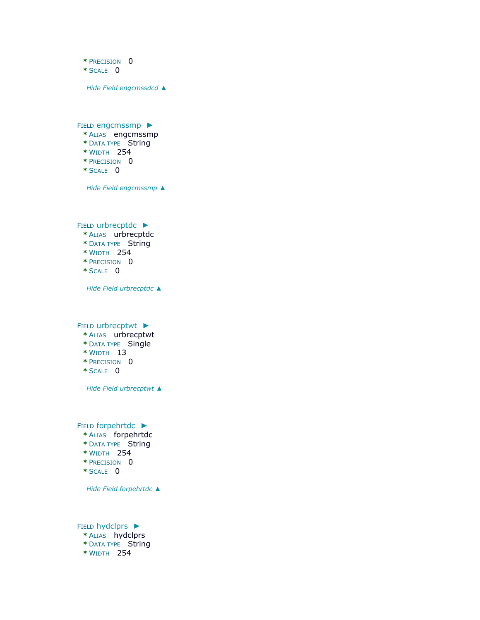- **\*** PRECISION 0
- **\*** SCALE 0

*Hide Field [engcmssdcd](file:///C:/Users/swalker/AppData/Local/Temp/arc6F0A/tmpDEEE.tmp.htm%23ID0EHBFA) ▲*

FIELD [engcmssmp](file:///C:/Users/swalker/AppData/Local/Temp/arc6F0A/tmpDEEE.tmp.htm%23ID0EGBFA) ▶

- **\*** ALIAS engcmssmp
- **\*** DATA TYPE String
- **\*** WIDTH 254
- **\*** PRECISION 0
- **\*** SCALE 0

*Hide Field [engcmssmp](file:///C:/Users/swalker/AppData/Local/Temp/arc6F0A/tmpDEEE.tmp.htm%23ID0EGBFA) ▲*

FIELD [urbrecptdc](file:///C:/Users/swalker/AppData/Local/Temp/arc6F0A/tmpDEEE.tmp.htm%23ID0EFBFA) ►

- **\*** ALIAS urbrecptdc
- **\*** DATA TYPE String
- **\*** WIDTH 254
- **\*** PRECISION 0
- **\*** SCALE 0

*Hide Field [urbrecptdc](file:///C:/Users/swalker/AppData/Local/Temp/arc6F0A/tmpDEEE.tmp.htm%23ID0EFBFA) ▲*

FIELD [urbrecptwt](file:///C:/Users/swalker/AppData/Local/Temp/arc6F0A/tmpDEEE.tmp.htm%23ID0EEBFA) ►

- **\*** ALIAS urbrecptwt
- **\*** DATA TYPE Single
- **\*** WIDTH 13
- **\*** PRECISION 0
- **\*** SCALE 0

*Hide Field [urbrecptwt](file:///C:/Users/swalker/AppData/Local/Temp/arc6F0A/tmpDEEE.tmp.htm%23ID0EEBFA) ▲*

FIELD [forpehrtdc](file:///C:/Users/swalker/AppData/Local/Temp/arc6F0A/tmpDEEE.tmp.htm%23ID0EDBFA) ►

- **\*** ALIAS forpehrtdc
- **\*** DATA TYPE String
- **\*** WIDTH 254
- **\*** PRECISION 0
- **\*** SCALE 0

*Hide Field [forpehrtdc](file:///C:/Users/swalker/AppData/Local/Temp/arc6F0A/tmpDEEE.tmp.htm%23ID0EDBFA) ▲*

FIELD [hydclprs](file:///C:/Users/swalker/AppData/Local/Temp/arc6F0A/tmpDEEE.tmp.htm%23ID0ECBFA) ►

- **\*** ALIAS hydclprs
- **\*** DATA TYPE String
- **\*** WIDTH 254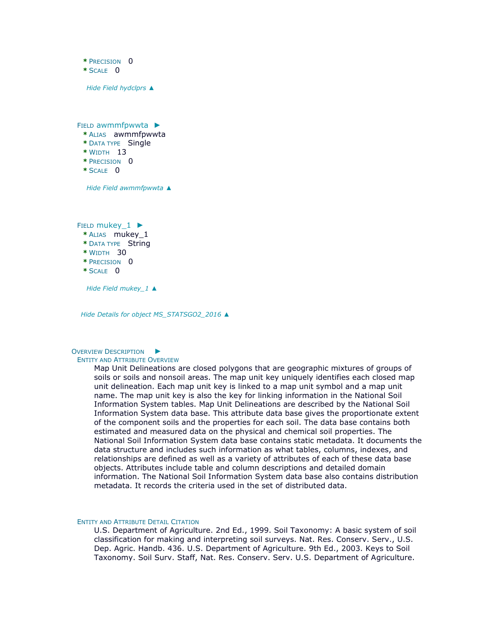**\*** PRECISION 0 **\*** SCALE 0 *Hide Field [hydclprs](file:///C:/Users/swalker/AppData/Local/Temp/arc6F0A/tmpDEEE.tmp.htm%23ID0ECBFA) ▲* FIELD [awmmfpwwta](file:///C:/Users/swalker/AppData/Local/Temp/arc6F0A/tmpDEEE.tmp.htm%23ID0EBBFA) ▶ **\*** ALIAS awmmfpwwta **\*** DATA TYPE Single **\*** WIDTH 13 **\*** PRECISION 0  $*$  SCALE  $\overline{0}$ 

*Hide Field [awmmfpwwta](file:///C:/Users/swalker/AppData/Local/Temp/arc6F0A/tmpDEEE.tmp.htm%23ID0EBBFA) ▲*

FIELD mukey 1 ►

- **\*** ALIAS mukey\_1
- **\*** DATA TYPE String
- **\*** WIDTH 30
- **\*** PRECISION 0
- **\*** SCALE 0

*Hide Field [mukey\\_1](file:///C:/Users/swalker/AppData/Local/Temp/arc6F0A/tmpDEEE.tmp.htm%23ID0EABFA) ▲*

*Hide Details for object [MS\\_STATSGO2\\_2016](file:///C:/Users/swalker/AppData/Local/Temp/arc6F0A/tmpDEEE.tmp.htm%23ID0EBFA) ▲*

### OVERVIEW D[ESCRIPTION](file:///C:/Users/swalker/AppData/Local/Temp/arc6F0A/tmpDEEE.tmp.htm%23ID0EAFA)  $\blacktriangleright$

#### ENTITY AND ATTRIBUTE OVERVIEW

Map Unit Delineations are closed polygons that are geographic mixtures of groups of soils or soils and nonsoil areas. The map unit key uniquely identifies each closed map unit delineation. Each map unit key is linked to a map unit symbol and a map unit name. The map unit key is also the key for linking information in the National Soil Information System tables. Map Unit Delineations are described by the National Soil Information System data base. This attribute data base gives the proportionate extent of the component soils and the properties for each soil. The data base contains both estimated and measured data on the physical and chemical soil properties. The National Soil Information System data base contains static metadata. It documents the data structure and includes such information as what tables, columns, indexes, and relationships are defined as well as a variety of attributes of each of these data base objects. Attributes include table and column descriptions and detailed domain information. The National Soil Information System data base also contains distribution metadata. It records the criteria used in the set of distributed data.

#### ENTITY AND ATTRIBUTE DETAIL CITATION

U.S. Department of Agriculture. 2nd Ed., 1999. Soil Taxonomy: A basic system of soil classification for making and interpreting soil surveys. Nat. Res. Conserv. Serv., U.S. Dep. Agric. Handb. 436. U.S. Department of Agriculture. 9th Ed., 2003. Keys to Soil Taxonomy. Soil Surv. Staff, Nat. Res. Conserv. Serv. U.S. Department of Agriculture.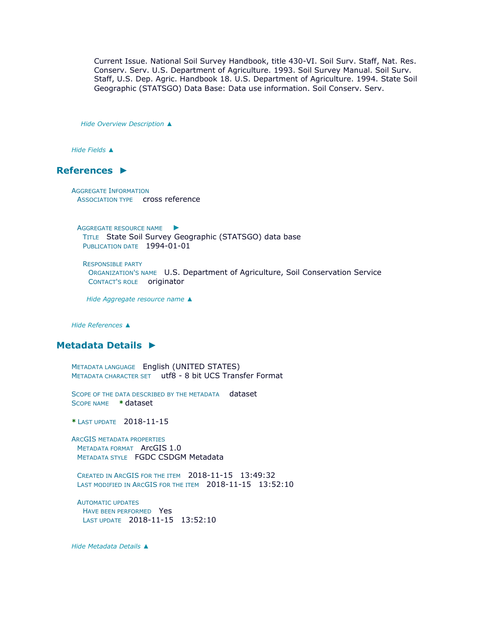Current Issue. National Soil Survey Handbook, title 430-VI. Soil Surv. Staff, Nat. Res. Conserv. Serv. U.S. Department of Agriculture. 1993. Soil Survey Manual. Soil Surv. Staff, U.S. Dep. Agric. Handbook 18. U.S. Department of Agriculture. 1994. State Soil Geographic (STATSGO) Data Base: Data use information. Soil Conserv. Serv.

*Hide [Overview Description](file:///C:/Users/swalker/AppData/Local/Temp/arc6F0A/tmpDEEE.tmp.htm%23ID0EAFA) ▲*

*Hide [Fields](file:///C:/Users/swalker/AppData/Local/Temp/arc6F0A/tmpDEEE.tmp.htm%23ID0EFA) ▲*

## **[References](file:///C:/Users/swalker/AppData/Local/Temp/arc6F0A/tmpDEEE.tmp.htm%23ID0EBHHA) ►**

AGGREGATE INFORMATION ASSOCIATION TYPE cross reference

A[GGREGATE RESOURCE NAME](file:///C:/Users/swalker/AppData/Local/Temp/arc6F0A/tmpDEEE.tmp.htm%23ID0ECBHHA) ► TITLE State Soil Survey Geographic (STATSGO) data base PUBLICATION DATE 1994-01-01

RESPONSIBLE PARTY ORGANIZATION'S NAME U.S. Department of Agriculture, Soil Conservation Service CONTACT'S ROLE originator

*Hide [Aggregate resource name](file:///C:/Users/swalker/AppData/Local/Temp/arc6F0A/tmpDEEE.tmp.htm%23ID0ECBHHA) ▲*

*Hide [References](file:///C:/Users/swalker/AppData/Local/Temp/arc6F0A/tmpDEEE.tmp.htm%23ID0EBHHA) ▲*

## **[Metadata Details](file:///C:/Users/swalker/AppData/Local/Temp/arc6F0A/tmpDEEE.tmp.htm%23ID0TAKQA) ►**

METADATA LANGUAGE English (UNITED STATES) METADATA CHARACTER SET utf8 - 8 bit UCS Transfer Format

SCOPE OF THE DATA DESCRIBED BY THE METADATA dataset SCOPE NAME **\*** dataset

**\*** LAST UPDATE 2018-11-15

ARCGIS METADATA PROPERTIES METADATA FORMAT ArcGIS 1.0 METADATA STYLE FGDC CSDGM Metadata

CREATED IN ARCGIS FOR THE ITEM 2018-11-15 13:49:32 LAST MODIFIED IN ARCGIS FOR THE ITEM 2018-11-15 13:52:10

AUTOMATIC UPDATES HAVE BEEN PERFORMED Yes LAST UPDATE 2018-11-15 13:52:10

*Hide [Metadata Details](file:///C:/Users/swalker/AppData/Local/Temp/arc6F0A/tmpDEEE.tmp.htm%23ID0TAKQA) ▲*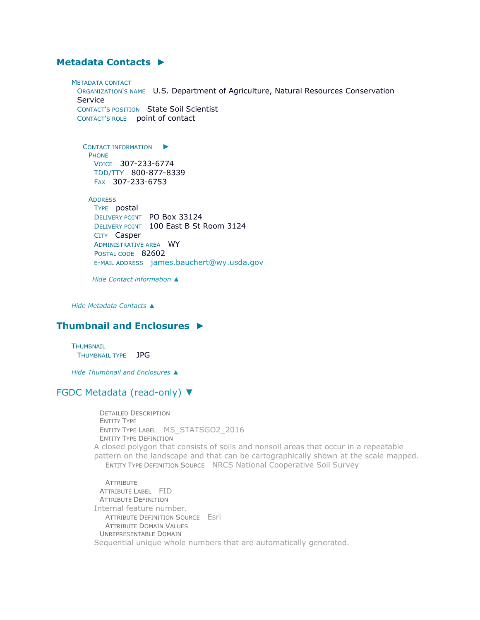# **[Metadata Contacts](file:///C:/Users/swalker/AppData/Local/Temp/arc6F0A/tmpDEEE.tmp.htm%23ID0EMA) ►**

METADATA CONTACT ORGANIZATION'S NAME U.S. Department of Agriculture, Natural Resources Conservation Service CONTACT'S POSITION State Soil Scientist CONTACT'S ROLE point of contact

C[ONTACT INFORMATION](file:///C:/Users/swalker/AppData/Local/Temp/arc6F0A/tmpDEEE.tmp.htm%23ID0EBMA)  $\blacktriangleright$ PHONE VOICE 307-233-6774 TDD/TTY 800-877-8339 FAX 307-233-6753

**ADDRESS** TYPE postal DELIVERY POINT PO Box 33124 DELIVERY POINT 100 East B St Room 3124 CITY Casper ADMINISTRATIVE AREA WY POSTAL CODE 82602 E-MAIL ADDRESS [james.bauchert@wy.usda.gov](mailto:james.bauchert@wy.usda.gov?subject=MS_STATSGO2_2016)

*Hide [Contact information](file:///C:/Users/swalker/AppData/Local/Temp/arc6F0A/tmpDEEE.tmp.htm%23ID0EBMA) ▲*

*Hide [Metadata Contacts](file:///C:/Users/swalker/AppData/Local/Temp/arc6F0A/tmpDEEE.tmp.htm%23ID0EMA) ▲*

# **[Thumbnail and Enclosures](file:///C:/Users/swalker/AppData/Local/Temp/arc6F0A/tmpDEEE.tmp.htm%23ID0EAA) ►**

**THUMBNAIL** THUMBNAIL TYPE JPG

*Hide [Thumbnail and Enclosures](file:///C:/Users/swalker/AppData/Local/Temp/arc6F0A/tmpDEEE.tmp.htm%23ID0EAA) ▲*

## [FGDC Metadata \(read-only\)](file:///C:/Users/swalker/AppData/Local/Temp/arc6F0A/tmpDEEE.tmp.htm%23fgdcMetadata) ▼

DETAILED DESCRIPTION ENTITY TYPE ENTITY TYPE LABEL MS\_STATSGO2\_2016 ENTITY TYPE DEFINITION A closed polygon that consists of soils and nonsoil areas that occur in a repeatable pattern on the landscape and that can be cartographically shown at the scale mapped. ENTITY TYPE DEFINITION SOURCE NRCS National Cooperative Soil Survey

**ATTRIBUTE** ATTRIBUTE LABEL FID ATTRIBUTE DEFINITION Internal feature number. ATTRIBUTE DEFINITION SOURCE Esri ATTRIBUTE DOMAIN VALUES UNREPRESENTABLE DOMAIN Sequential unique whole numbers that are automatically generated.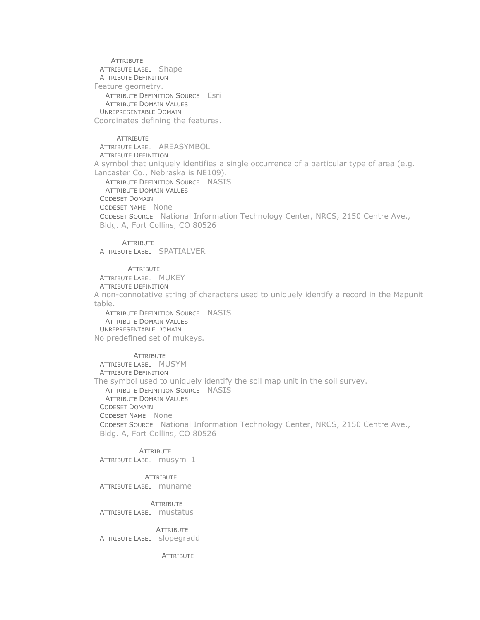**ATTRIBUTE** ATTRIBUTE LABEL Shape ATTRIBUTE DEFINITION Feature geometry. ATTRIBUTE DEFINITION SOURCE Esri ATTRIBUTE DOMAIN VALUES UNREPRESENTABLE DOMAIN Coordinates defining the features.

**ATTRIBUTE** 

ATTRIBUTE LABEL AREASYMBOL ATTRIBUTE DEFINITION A symbol that uniquely identifies a single occurrence of a particular type of area (e.g. Lancaster Co., Nebraska is NE109). ATTRIBUTE DEFINITION SOURCE NASIS ATTRIBUTE DOMAIN VALUES CODESET DOMAIN CODESET NAME None

CODESET SOURCE National Information Technology Center, NRCS, 2150 Centre Ave., Bldg. A, Fort Collins, CO 80526

**ATTRIBUTE** 

ATTRIBUTE LABEL SPATIALVER

**ATTRIBUTE** 

ATTRIBUTE LABEL MUKEY

ATTRIBUTE DEFINITION

A non-connotative string of characters used to uniquely identify a record in the Mapunit table.

ATTRIBUTE DEFINITION SOURCE NASIS **ATTRIBUTE DOMAIN VALUES** UNREPRESENTABLE DOMAIN No predefined set of mukeys.

**ATTRIBUTE** ATTRIBUTE LABEL MUSYM ATTRIBUTE DEFINITION The symbol used to uniquely identify the soil map unit in the soil survey. ATTRIBUTE DEFINITION SOURCE NASIS ATTRIBUTE DOMAIN VALUES CODESET DOMAIN CODESET NAME None CODESET SOURCE National Information Technology Center, NRCS, 2150 Centre Ave., Bldg. A, Fort Collins, CO 80526

**ATTRIBUTE** 

ATTRIBUTE LABEL musym\_1

**ATTRIBUTE** ATTRIBUTE LABEL muname

**ATTRIBUTE** ATTRIBUTE LABEL mustatus

**ATTRIBUTE** ATTRIBUTE LABEL slopegradd

**ATTRIBUTE**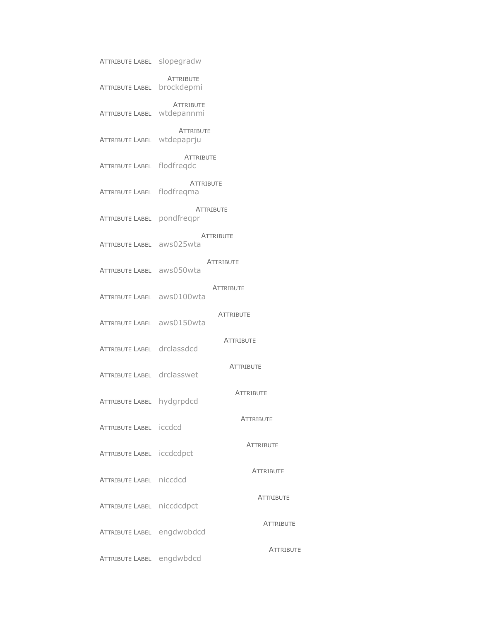| <b>ATTRIBUTE LABEL slopegradw</b> |                                |                  |
|-----------------------------------|--------------------------------|------------------|
| <b>ATTRIBUTE LABEL</b>            | <b>ATTRIBUTE</b><br>brockdepmi |                  |
| <b>ATTRIBUTE LABEL</b>            | <b>ATTRIBUTE</b><br>wtdepannmi |                  |
| ATTRIBUTE LABEL wtdepaprju        | <b>ATTRIBUTE</b>               |                  |
| <b>ATTRIBUTE LABEL flodfregdc</b> | <b>ATTRIBUTE</b>               |                  |
| ATTRIBUTE LABEL flodfreqma        | <b>ATTRIBUTE</b>               |                  |
| ATTRIBUTE LABEL pondfreqpr        |                                | <b>ATTRIBUTE</b> |
| ATTRIBUTE LABEL aws025wta         | <b>ATTRIBUTE</b>               |                  |
| ATTRIBUTE LABEL aws050wta         |                                | <b>ATTRIBUTE</b> |
| ATTRIBUTE LABEL aws0100wta        |                                | <b>ATTRIBUTE</b> |
| ATTRIBUTE LABEL aws0150wta        |                                | <b>ATTRIBUTE</b> |
| ATTRIBUTE LABEL drclassdcd        |                                | <b>ATTRIBUTE</b> |
| ATTRIBUTE LABEL drclasswet        |                                | <b>ATTRIBUTE</b> |
| <b>ATTRIBUTE LABEL</b>            | hydgrpdcd                      | <b>ATTRIBUTE</b> |
| ATTRIBUTE LABEL iccdcd            |                                | <b>ATTRIBUTE</b> |
| ATTRIBUTE LABEL iccdcdpct         |                                | <b>ATTRIBUTE</b> |
| ATTRIBUTE LABEL niccdcd           |                                | <b>ATTRIBUTE</b> |
| ATTRIBUTE LABEL niccdcdpct        |                                | <b>ATTRIBUTE</b> |
| ATTRIBUTE LABEL engdwobdcd        |                                | <b>ATTRIBUTE</b> |
| ATTRIBUTE LABEL engdwbdcd         |                                | <b>ATTRIBUTE</b> |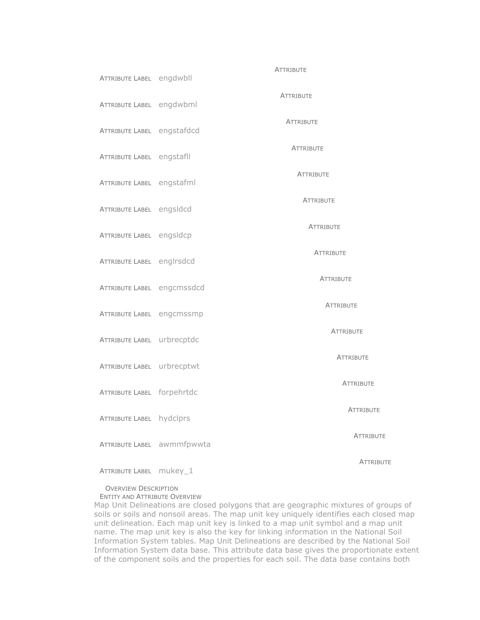| ATTRIBUTE LABEL engdwbll   |                            | <b>ATTRIBUTE</b> |
|----------------------------|----------------------------|------------------|
| ATTRIBUTE LABEL engdwbml   |                            | <b>ATTRIBUTE</b> |
| ATTRIBUTE LABEL engstafdcd |                            | <b>ATTRIBUTE</b> |
| ATTRIBUTE LABEL engstafll  |                            | <b>ATTRIBUTE</b> |
| ATTRIBUTE LABEL engstafml  |                            | <b>ATTRIBUTE</b> |
| ATTRIBUTE LABEL engsldcd   |                            | <b>ATTRIBUTE</b> |
| ATTRIBUTE LABEL engsldcp   |                            | <b>ATTRIBUTE</b> |
| ATTRIBUTE LABEL englrsdcd  |                            | <b>ATTRIBUTE</b> |
| ATTRIBUTE LABEL engcmssdcd |                            | <b>ATTRIBUTE</b> |
| ATTRIBUTE LABEL engcmssmp  |                            | <b>ATTRIBUTE</b> |
| ATTRIBUTE LABEL urbrecptdc |                            | <b>ATTRIBUTE</b> |
| ATTRIBUTE LABEL urbrecptwt |                            | <b>ATTRIBUTE</b> |
| ATTRIBUTE LABEL forpehrtdc |                            | <b>ATTRIBUTE</b> |
| ATTRIBUTE LABEL hydclprs   |                            | <b>ATTRIBUTE</b> |
|                            | ATTRIBUTE LABEL awmmfpwwta | <b>ATTRIBUTE</b> |
| ATTRIBUTE LABEL mukey_1    |                            | <b>ATTRIBUTE</b> |

#### OVERVIEW DESCRIPTION ENTITY AND ATTRIBUTE OVERVIEW

Map Unit Delineations are closed polygons that are geographic mixtures of groups of soils or soils and nonsoil areas. The map unit key uniquely identifies each closed map unit delineation. Each map unit key is linked to a map unit symbol and a map unit name. The map unit key is also the key for linking information in the National Soil Information System tables. Map Unit Delineations are described by the National Soil Information System data base. This attribute data base gives the proportionate extent of the component soils and the properties for each soil. The data base contains both